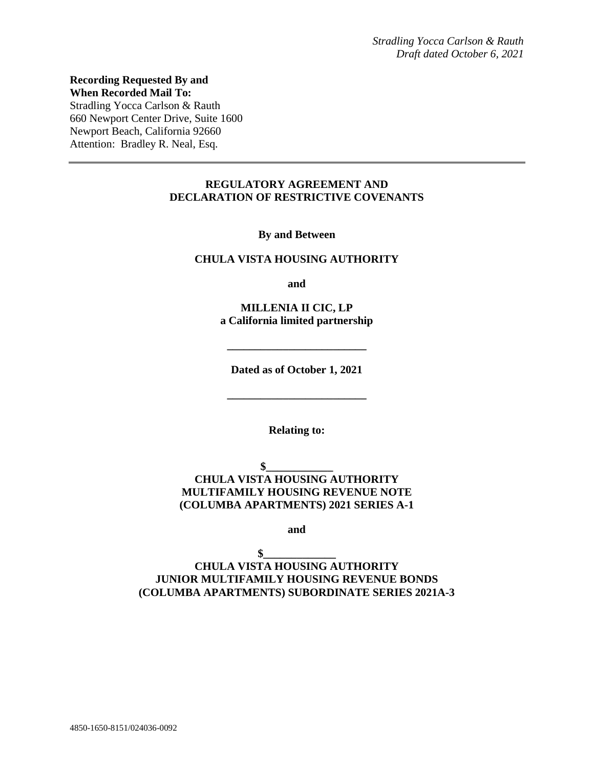**Recording Requested By and When Recorded Mail To:** Stradling Yocca Carlson & Rauth 660 Newport Center Drive, Suite 1600 Newport Beach, California 92660 Attention: Bradley R. Neal, Esq.

#### **REGULATORY AGREEMENT AND DECLARATION OF RESTRICTIVE COVENANTS**

**By and Between**

#### **CHULA VISTA HOUSING AUTHORITY**

**and**

**MILLENIA II CIC, LP a California limited partnership**

**Dated as of October 1, 2021**

**\_\_\_\_\_\_\_\_\_\_\_\_\_\_\_\_\_\_\_\_\_\_\_\_\_**

**\_\_\_\_\_\_\_\_\_\_\_\_\_\_\_\_\_\_\_\_\_\_\_\_\_**

**Relating to:**

 $$$ **CHULA VISTA HOUSING AUTHORITY MULTIFAMILY HOUSING REVENUE NOTE (COLUMBA APARTMENTS) 2021 SERIES A-1**

**and**

 $\mathbf{\$}$ **CHULA VISTA HOUSING AUTHORITY JUNIOR MULTIFAMILY HOUSING REVENUE BONDS (COLUMBA APARTMENTS) SUBORDINATE SERIES 2021A-3**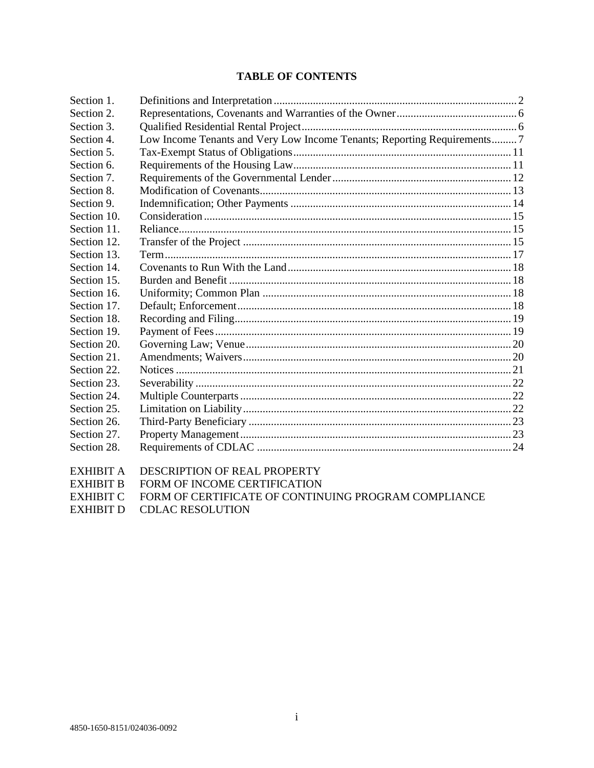### **TABLE OF CONTENTS**

| Section 1.  |                                                                         |  |
|-------------|-------------------------------------------------------------------------|--|
| Section 2.  |                                                                         |  |
| Section 3.  |                                                                         |  |
| Section 4.  | Low Income Tenants and Very Low Income Tenants; Reporting Requirements7 |  |
| Section 5.  |                                                                         |  |
| Section 6.  |                                                                         |  |
| Section 7.  |                                                                         |  |
| Section 8.  |                                                                         |  |
| Section 9.  |                                                                         |  |
| Section 10. |                                                                         |  |
| Section 11. |                                                                         |  |
| Section 12. |                                                                         |  |
| Section 13. |                                                                         |  |
| Section 14. |                                                                         |  |
| Section 15. |                                                                         |  |
| Section 16. |                                                                         |  |
| Section 17. |                                                                         |  |
| Section 18. |                                                                         |  |
| Section 19. |                                                                         |  |
| Section 20. |                                                                         |  |
| Section 21. |                                                                         |  |
| Section 22. |                                                                         |  |
| Section 23. |                                                                         |  |
| Section 24. |                                                                         |  |
| Section 25. |                                                                         |  |
| Section 26. |                                                                         |  |
| Section 27. |                                                                         |  |
| Section 28. |                                                                         |  |
| EXHIBIT A   | DESCRIPTION OF REAL PROPERTY                                            |  |

EXHIBIT B FORM OF INCOME CERTIFICATION

EXHIBIT C FORM OF CERTIFICATE OF CONTINUING PROGRAM COMPLIANCE

EXHIBIT D CDLAC RESOLUTION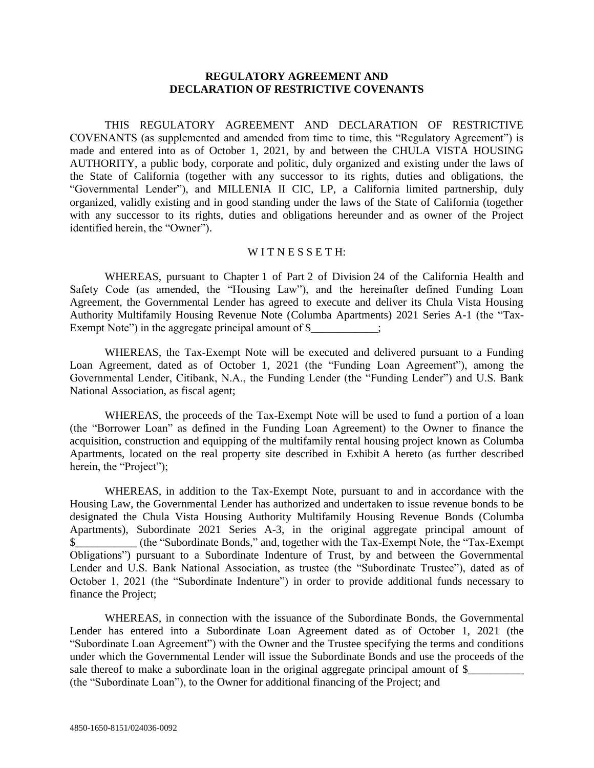### **REGULATORY AGREEMENT AND DECLARATION OF RESTRICTIVE COVENANTS**

THIS REGULATORY AGREEMENT AND DECLARATION OF RESTRICTIVE COVENANTS (as supplemented and amended from time to time, this "Regulatory Agreement") is made and entered into as of October 1, 2021, by and between the CHULA VISTA HOUSING AUTHORITY, a public body, corporate and politic, duly organized and existing under the laws of the State of California (together with any successor to its rights, duties and obligations, the "Governmental Lender"), and MILLENIA II CIC, LP, a California limited partnership, duly organized, validly existing and in good standing under the laws of the State of California (together with any successor to its rights, duties and obligations hereunder and as owner of the Project identified herein, the "Owner").

#### WITNESSETH:

WHEREAS, pursuant to Chapter 1 of Part 2 of Division 24 of the California Health and Safety Code (as amended, the "Housing Law"), and the hereinafter defined Funding Loan Agreement, the Governmental Lender has agreed to execute and deliver its Chula Vista Housing Authority Multifamily Housing Revenue Note (Columba Apartments) 2021 Series A-1 (the "Tax-Exempt Note") in the aggregate principal amount of  $\$ ;

WHEREAS, the Tax-Exempt Note will be executed and delivered pursuant to a Funding Loan Agreement, dated as of October 1, 2021 (the "Funding Loan Agreement"), among the Governmental Lender, Citibank, N.A., the Funding Lender (the "Funding Lender") and U.S. Bank National Association, as fiscal agent;

WHEREAS, the proceeds of the Tax-Exempt Note will be used to fund a portion of a loan (the "Borrower Loan" as defined in the Funding Loan Agreement) to the Owner to finance the acquisition, construction and equipping of the multifamily rental housing project known as Columba Apartments, located on the real property site described in Exhibit A hereto (as further described herein, the "Project");

WHEREAS, in addition to the Tax-Exempt Note, pursuant to and in accordance with the Housing Law, the Governmental Lender has authorized and undertaken to issue revenue bonds to be designated the Chula Vista Housing Authority Multifamily Housing Revenue Bonds (Columba Apartments), Subordinate 2021 Series A-3, in the original aggregate principal amount of \$\_\_\_\_\_\_\_\_\_\_\_ (the "Subordinate Bonds," and, together with the Tax-Exempt Note, the "Tax-Exempt Obligations") pursuant to a Subordinate Indenture of Trust, by and between the Governmental Lender and U.S. Bank National Association, as trustee (the "Subordinate Trustee"), dated as of October 1, 2021 (the "Subordinate Indenture") in order to provide additional funds necessary to finance the Project;

WHEREAS, in connection with the issuance of the Subordinate Bonds, the Governmental Lender has entered into a Subordinate Loan Agreement dated as of October 1, 2021 (the "Subordinate Loan Agreement") with the Owner and the Trustee specifying the terms and conditions under which the Governmental Lender will issue the Subordinate Bonds and use the proceeds of the sale thereof to make a subordinate loan in the original aggregate principal amount of  $\frac{1}{2}$ (the "Subordinate Loan"), to the Owner for additional financing of the Project; and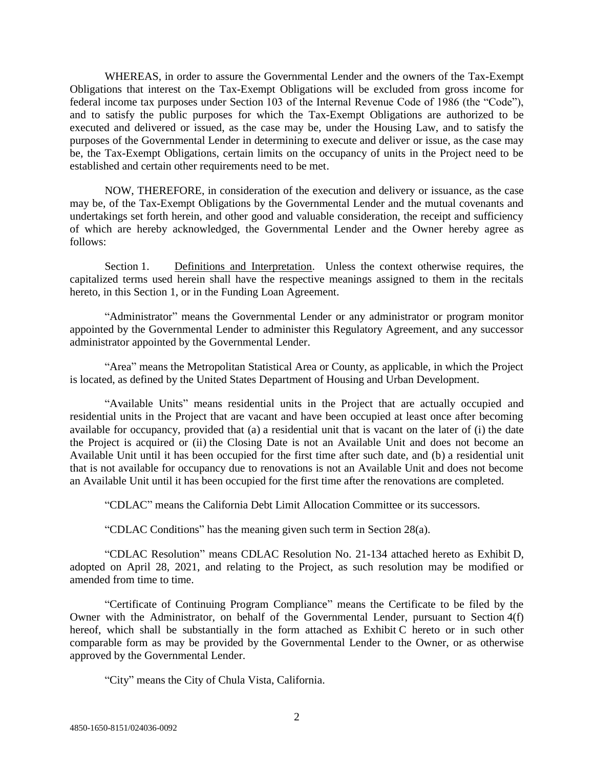WHEREAS, in order to assure the Governmental Lender and the owners of the Tax-Exempt Obligations that interest on the Tax-Exempt Obligations will be excluded from gross income for federal income tax purposes under Section 103 of the Internal Revenue Code of 1986 (the "Code"), and to satisfy the public purposes for which the Tax-Exempt Obligations are authorized to be executed and delivered or issued, as the case may be, under the Housing Law, and to satisfy the purposes of the Governmental Lender in determining to execute and deliver or issue, as the case may be, the Tax-Exempt Obligations, certain limits on the occupancy of units in the Project need to be established and certain other requirements need to be met.

NOW, THEREFORE, in consideration of the execution and delivery or issuance, as the case may be, of the Tax-Exempt Obligations by the Governmental Lender and the mutual covenants and undertakings set forth herein, and other good and valuable consideration, the receipt and sufficiency of which are hereby acknowledged, the Governmental Lender and the Owner hereby agree as follows:

Section 1. Definitions and Interpretation. Unless the context otherwise requires, the capitalized terms used herein shall have the respective meanings assigned to them in the recitals hereto, in this Section 1, or in the Funding Loan Agreement.

"Administrator" means the Governmental Lender or any administrator or program monitor appointed by the Governmental Lender to administer this Regulatory Agreement, and any successor administrator appointed by the Governmental Lender.

"Area" means the Metropolitan Statistical Area or County, as applicable, in which the Project is located, as defined by the United States Department of Housing and Urban Development.

"Available Units" means residential units in the Project that are actually occupied and residential units in the Project that are vacant and have been occupied at least once after becoming available for occupancy, provided that (a) a residential unit that is vacant on the later of (i) the date the Project is acquired or (ii) the Closing Date is not an Available Unit and does not become an Available Unit until it has been occupied for the first time after such date, and (b) a residential unit that is not available for occupancy due to renovations is not an Available Unit and does not become an Available Unit until it has been occupied for the first time after the renovations are completed.

"CDLAC" means the California Debt Limit Allocation Committee or its successors.

"CDLAC Conditions" has the meaning given such term in Section 28(a).

"CDLAC Resolution" means CDLAC Resolution No. 21-134 attached hereto as Exhibit D, adopted on April 28, 2021, and relating to the Project, as such resolution may be modified or amended from time to time.

"Certificate of Continuing Program Compliance" means the Certificate to be filed by the Owner with the Administrator, on behalf of the Governmental Lender, pursuant to Section 4(f) hereof, which shall be substantially in the form attached as Exhibit C hereto or in such other comparable form as may be provided by the Governmental Lender to the Owner, or as otherwise approved by the Governmental Lender.

"City" means the City of Chula Vista, California.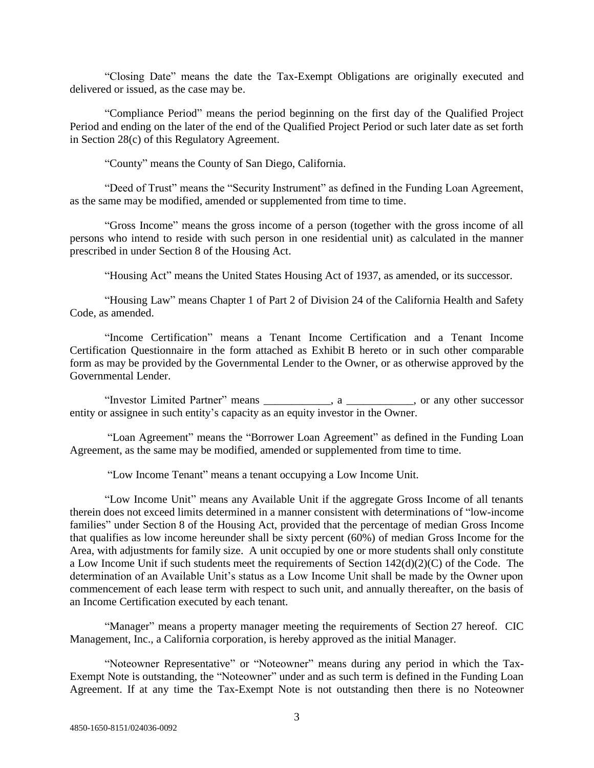"Closing Date" means the date the Tax-Exempt Obligations are originally executed and delivered or issued, as the case may be.

"Compliance Period" means the period beginning on the first day of the Qualified Project Period and ending on the later of the end of the Qualified Project Period or such later date as set forth in Section 28(c) of this Regulatory Agreement.

"County" means the County of San Diego, California.

"Deed of Trust" means the "Security Instrument" as defined in the Funding Loan Agreement, as the same may be modified, amended or supplemented from time to time.

"Gross Income" means the gross income of a person (together with the gross income of all persons who intend to reside with such person in one residential unit) as calculated in the manner prescribed in under Section 8 of the Housing Act.

"Housing Act" means the United States Housing Act of 1937, as amended, or its successor.

"Housing Law" means Chapter 1 of Part 2 of Division 24 of the California Health and Safety Code, as amended.

"Income Certification" means a Tenant Income Certification and a Tenant Income Certification Questionnaire in the form attached as Exhibit B hereto or in such other comparable form as may be provided by the Governmental Lender to the Owner, or as otherwise approved by the Governmental Lender.

"Investor Limited Partner" means \_\_\_\_\_\_\_\_\_\_\_\_, a \_\_\_\_\_\_\_\_\_\_\_\_, or any other successor entity or assignee in such entity's capacity as an equity investor in the Owner.

"Loan Agreement" means the "Borrower Loan Agreement" as defined in the Funding Loan Agreement, as the same may be modified, amended or supplemented from time to time.

"Low Income Tenant" means a tenant occupying a Low Income Unit.

"Low Income Unit" means any Available Unit if the aggregate Gross Income of all tenants therein does not exceed limits determined in a manner consistent with determinations of "low-income families" under Section 8 of the Housing Act, provided that the percentage of median Gross Income that qualifies as low income hereunder shall be sixty percent (60%) of median Gross Income for the Area, with adjustments for family size. A unit occupied by one or more students shall only constitute a Low Income Unit if such students meet the requirements of Section 142(d)(2)(C) of the Code. The determination of an Available Unit's status as a Low Income Unit shall be made by the Owner upon commencement of each lease term with respect to such unit, and annually thereafter, on the basis of an Income Certification executed by each tenant.

"Manager" means a property manager meeting the requirements of Section 27 hereof. CIC Management, Inc., a California corporation, is hereby approved as the initial Manager.

"Noteowner Representative" or "Noteowner" means during any period in which the Tax-Exempt Note is outstanding, the "Noteowner" under and as such term is defined in the Funding Loan Agreement. If at any time the Tax-Exempt Note is not outstanding then there is no Noteowner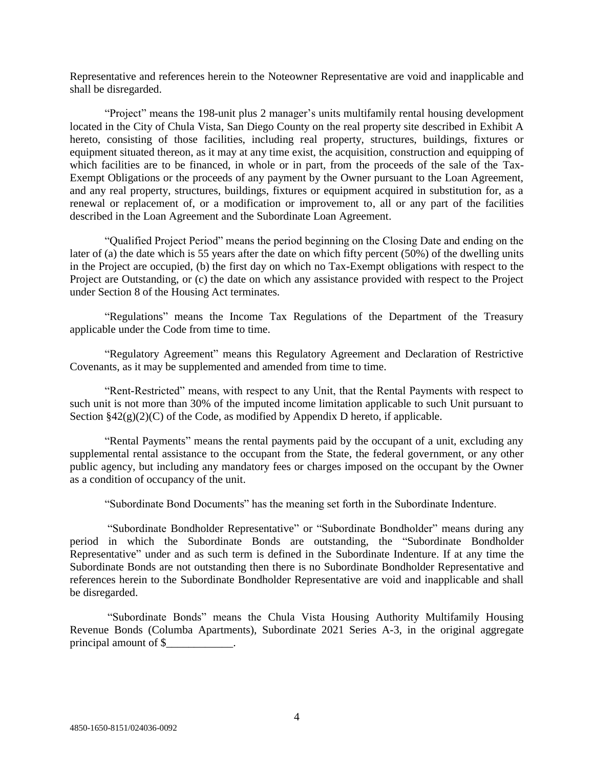Representative and references herein to the Noteowner Representative are void and inapplicable and shall be disregarded.

"Project" means the 198-unit plus 2 manager's units multifamily rental housing development located in the City of Chula Vista, San Diego County on the real property site described in Exhibit A hereto, consisting of those facilities, including real property, structures, buildings, fixtures or equipment situated thereon, as it may at any time exist, the acquisition, construction and equipping of which facilities are to be financed, in whole or in part, from the proceeds of the sale of the Tax-Exempt Obligations or the proceeds of any payment by the Owner pursuant to the Loan Agreement, and any real property, structures, buildings, fixtures or equipment acquired in substitution for, as a renewal or replacement of, or a modification or improvement to, all or any part of the facilities described in the Loan Agreement and the Subordinate Loan Agreement.

"Qualified Project Period" means the period beginning on the Closing Date and ending on the later of (a) the date which is 55 years after the date on which fifty percent (50%) of the dwelling units in the Project are occupied, (b) the first day on which no Tax-Exempt obligations with respect to the Project are Outstanding, or (c) the date on which any assistance provided with respect to the Project under Section 8 of the Housing Act terminates.

"Regulations" means the Income Tax Regulations of the Department of the Treasury applicable under the Code from time to time.

"Regulatory Agreement" means this Regulatory Agreement and Declaration of Restrictive Covenants, as it may be supplemented and amended from time to time.

"Rent-Restricted" means, with respect to any Unit, that the Rental Payments with respect to such unit is not more than 30% of the imputed income limitation applicable to such Unit pursuant to Section  $\frac{842(g)(2)(C)}{G}$  of the Code, as modified by Appendix D hereto, if applicable.

"Rental Payments" means the rental payments paid by the occupant of a unit, excluding any supplemental rental assistance to the occupant from the State, the federal government, or any other public agency, but including any mandatory fees or charges imposed on the occupant by the Owner as a condition of occupancy of the unit.

"Subordinate Bond Documents" has the meaning set forth in the Subordinate Indenture.

"Subordinate Bondholder Representative" or "Subordinate Bondholder" means during any period in which the Subordinate Bonds are outstanding, the "Subordinate Bondholder Representative" under and as such term is defined in the Subordinate Indenture. If at any time the Subordinate Bonds are not outstanding then there is no Subordinate Bondholder Representative and references herein to the Subordinate Bondholder Representative are void and inapplicable and shall be disregarded.

"Subordinate Bonds" means the Chula Vista Housing Authority Multifamily Housing Revenue Bonds (Columba Apartments), Subordinate 2021 Series A-3, in the original aggregate principal amount of \$\_\_\_\_\_\_\_\_\_\_\_\_.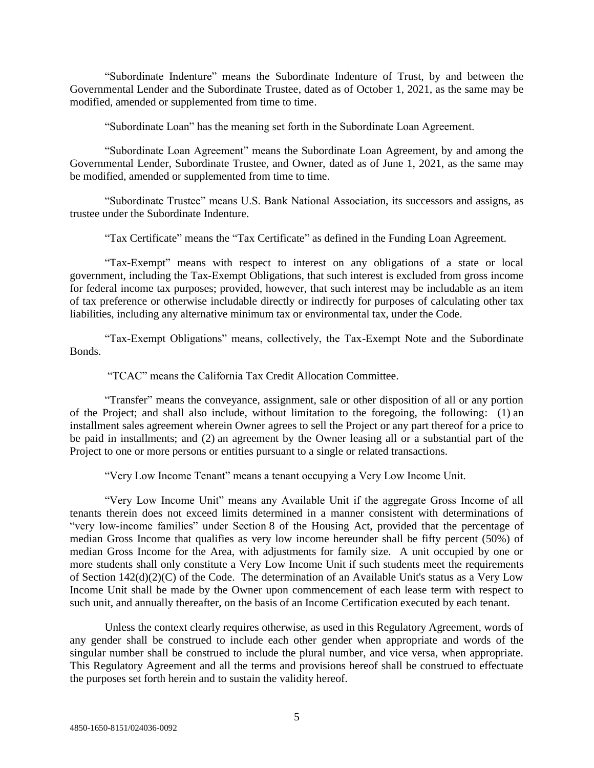"Subordinate Indenture" means the Subordinate Indenture of Trust, by and between the Governmental Lender and the Subordinate Trustee, dated as of October 1, 2021, as the same may be modified, amended or supplemented from time to time.

"Subordinate Loan" has the meaning set forth in the Subordinate Loan Agreement.

"Subordinate Loan Agreement" means the Subordinate Loan Agreement, by and among the Governmental Lender, Subordinate Trustee, and Owner, dated as of June 1, 2021, as the same may be modified, amended or supplemented from time to time.

"Subordinate Trustee" means U.S. Bank National Association, its successors and assigns, as trustee under the Subordinate Indenture.

"Tax Certificate" means the "Tax Certificate" as defined in the Funding Loan Agreement.

"Tax-Exempt" means with respect to interest on any obligations of a state or local government, including the Tax-Exempt Obligations, that such interest is excluded from gross income for federal income tax purposes; provided, however, that such interest may be includable as an item of tax preference or otherwise includable directly or indirectly for purposes of calculating other tax liabilities, including any alternative minimum tax or environmental tax, under the Code.

"Tax-Exempt Obligations" means, collectively, the Tax-Exempt Note and the Subordinate Bonds.

"TCAC" means the California Tax Credit Allocation Committee.

"Transfer" means the conveyance, assignment, sale or other disposition of all or any portion of the Project; and shall also include, without limitation to the foregoing, the following: (1) an installment sales agreement wherein Owner agrees to sell the Project or any part thereof for a price to be paid in installments; and (2) an agreement by the Owner leasing all or a substantial part of the Project to one or more persons or entities pursuant to a single or related transactions.

"Very Low Income Tenant" means a tenant occupying a Very Low Income Unit.

"Very Low Income Unit" means any Available Unit if the aggregate Gross Income of all tenants therein does not exceed limits determined in a manner consistent with determinations of "very low-income families" under Section 8 of the Housing Act, provided that the percentage of median Gross Income that qualifies as very low income hereunder shall be fifty percent (50%) of median Gross Income for the Area, with adjustments for family size. A unit occupied by one or more students shall only constitute a Very Low Income Unit if such students meet the requirements of Section 142(d)(2)(C) of the Code. The determination of an Available Unit's status as a Very Low Income Unit shall be made by the Owner upon commencement of each lease term with respect to such unit, and annually thereafter, on the basis of an Income Certification executed by each tenant.

Unless the context clearly requires otherwise, as used in this Regulatory Agreement, words of any gender shall be construed to include each other gender when appropriate and words of the singular number shall be construed to include the plural number, and vice versa, when appropriate. This Regulatory Agreement and all the terms and provisions hereof shall be construed to effectuate the purposes set forth herein and to sustain the validity hereof.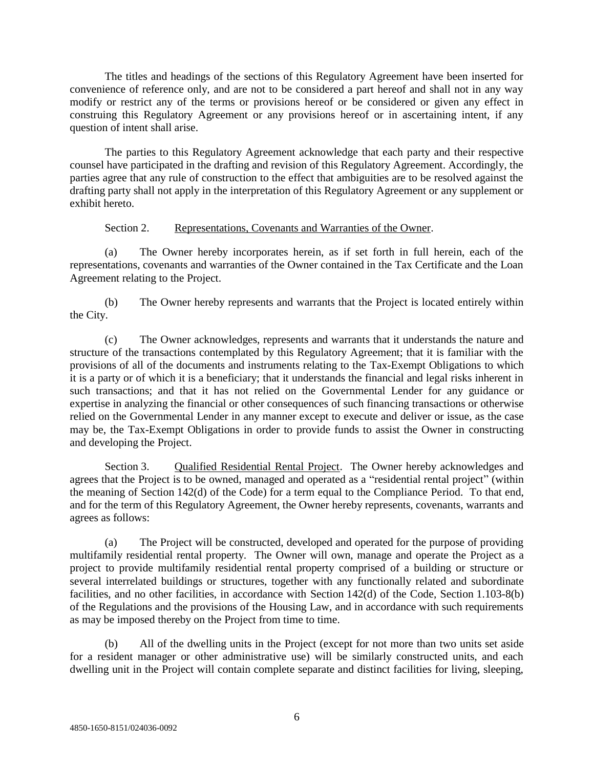The titles and headings of the sections of this Regulatory Agreement have been inserted for convenience of reference only, and are not to be considered a part hereof and shall not in any way modify or restrict any of the terms or provisions hereof or be considered or given any effect in construing this Regulatory Agreement or any provisions hereof or in ascertaining intent, if any question of intent shall arise.

The parties to this Regulatory Agreement acknowledge that each party and their respective counsel have participated in the drafting and revision of this Regulatory Agreement. Accordingly, the parties agree that any rule of construction to the effect that ambiguities are to be resolved against the drafting party shall not apply in the interpretation of this Regulatory Agreement or any supplement or exhibit hereto.

#### Section 2. Representations, Covenants and Warranties of the Owner.

(a) The Owner hereby incorporates herein, as if set forth in full herein, each of the representations, covenants and warranties of the Owner contained in the Tax Certificate and the Loan Agreement relating to the Project.

(b) The Owner hereby represents and warrants that the Project is located entirely within the City.

(c) The Owner acknowledges, represents and warrants that it understands the nature and structure of the transactions contemplated by this Regulatory Agreement; that it is familiar with the provisions of all of the documents and instruments relating to the Tax-Exempt Obligations to which it is a party or of which it is a beneficiary; that it understands the financial and legal risks inherent in such transactions; and that it has not relied on the Governmental Lender for any guidance or expertise in analyzing the financial or other consequences of such financing transactions or otherwise relied on the Governmental Lender in any manner except to execute and deliver or issue, as the case may be, the Tax-Exempt Obligations in order to provide funds to assist the Owner in constructing and developing the Project.

Section 3. Qualified Residential Rental Project. The Owner hereby acknowledges and agrees that the Project is to be owned, managed and operated as a "residential rental project" (within the meaning of Section 142(d) of the Code) for a term equal to the Compliance Period. To that end, and for the term of this Regulatory Agreement, the Owner hereby represents, covenants, warrants and agrees as follows:

(a) The Project will be constructed, developed and operated for the purpose of providing multifamily residential rental property. The Owner will own, manage and operate the Project as a project to provide multifamily residential rental property comprised of a building or structure or several interrelated buildings or structures, together with any functionally related and subordinate facilities, and no other facilities, in accordance with Section 142(d) of the Code, Section 1.103-8(b) of the Regulations and the provisions of the Housing Law, and in accordance with such requirements as may be imposed thereby on the Project from time to time.

(b) All of the dwelling units in the Project (except for not more than two units set aside for a resident manager or other administrative use) will be similarly constructed units, and each dwelling unit in the Project will contain complete separate and distinct facilities for living, sleeping,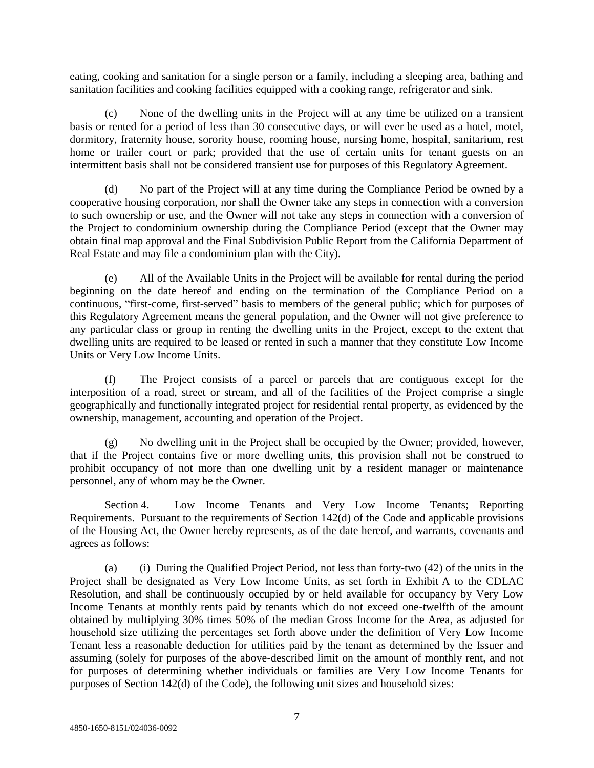eating, cooking and sanitation for a single person or a family, including a sleeping area, bathing and sanitation facilities and cooking facilities equipped with a cooking range, refrigerator and sink.

(c) None of the dwelling units in the Project will at any time be utilized on a transient basis or rented for a period of less than 30 consecutive days, or will ever be used as a hotel, motel, dormitory, fraternity house, sorority house, rooming house, nursing home, hospital, sanitarium, rest home or trailer court or park; provided that the use of certain units for tenant guests on an intermittent basis shall not be considered transient use for purposes of this Regulatory Agreement.

(d) No part of the Project will at any time during the Compliance Period be owned by a cooperative housing corporation, nor shall the Owner take any steps in connection with a conversion to such ownership or use, and the Owner will not take any steps in connection with a conversion of the Project to condominium ownership during the Compliance Period (except that the Owner may obtain final map approval and the Final Subdivision Public Report from the California Department of Real Estate and may file a condominium plan with the City).

(e) All of the Available Units in the Project will be available for rental during the period beginning on the date hereof and ending on the termination of the Compliance Period on a continuous, "first-come, first-served" basis to members of the general public; which for purposes of this Regulatory Agreement means the general population, and the Owner will not give preference to any particular class or group in renting the dwelling units in the Project, except to the extent that dwelling units are required to be leased or rented in such a manner that they constitute Low Income Units or Very Low Income Units.

(f) The Project consists of a parcel or parcels that are contiguous except for the interposition of a road, street or stream, and all of the facilities of the Project comprise a single geographically and functionally integrated project for residential rental property, as evidenced by the ownership, management, accounting and operation of the Project.

(g) No dwelling unit in the Project shall be occupied by the Owner; provided, however, that if the Project contains five or more dwelling units, this provision shall not be construed to prohibit occupancy of not more than one dwelling unit by a resident manager or maintenance personnel, any of whom may be the Owner.

Section 4. Low Income Tenants and Very Low Income Tenants; Reporting Requirements. Pursuant to the requirements of Section 142(d) of the Code and applicable provisions of the Housing Act, the Owner hereby represents, as of the date hereof, and warrants, covenants and agrees as follows:

(a) (i) During the Qualified Project Period, not less than forty-two (42) of the units in the Project shall be designated as Very Low Income Units, as set forth in Exhibit A to the CDLAC Resolution, and shall be continuously occupied by or held available for occupancy by Very Low Income Tenants at monthly rents paid by tenants which do not exceed one-twelfth of the amount obtained by multiplying 30% times 50% of the median Gross Income for the Area, as adjusted for household size utilizing the percentages set forth above under the definition of Very Low Income Tenant less a reasonable deduction for utilities paid by the tenant as determined by the Issuer and assuming (solely for purposes of the above-described limit on the amount of monthly rent, and not for purposes of determining whether individuals or families are Very Low Income Tenants for purposes of Section 142(d) of the Code), the following unit sizes and household sizes: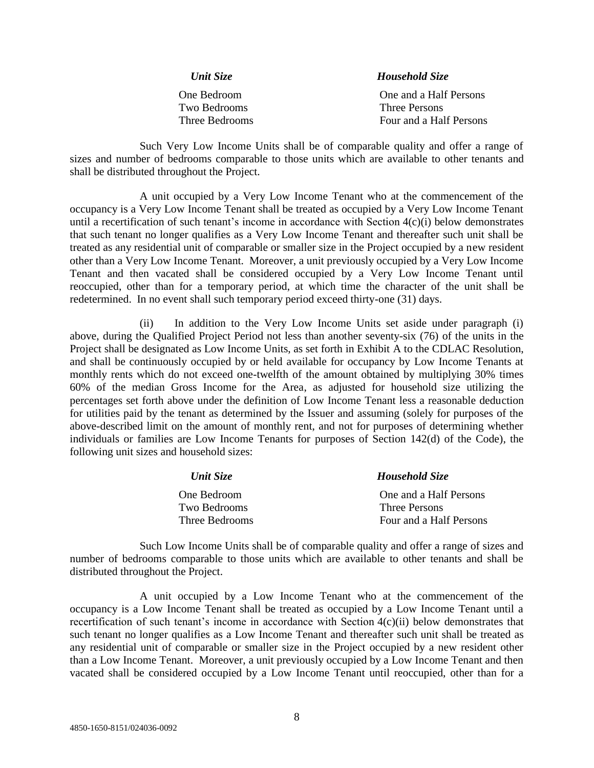| Unit Size      | <b>Household Size</b>   |  |  |
|----------------|-------------------------|--|--|
| One Bedroom    | One and a Half Persons  |  |  |
| Two Bedrooms   | Three Persons           |  |  |
| Three Bedrooms | Four and a Half Persons |  |  |

Such Very Low Income Units shall be of comparable quality and offer a range of sizes and number of bedrooms comparable to those units which are available to other tenants and shall be distributed throughout the Project.

A unit occupied by a Very Low Income Tenant who at the commencement of the occupancy is a Very Low Income Tenant shall be treated as occupied by a Very Low Income Tenant until a recertification of such tenant's income in accordance with Section 4(c)(i) below demonstrates that such tenant no longer qualifies as a Very Low Income Tenant and thereafter such unit shall be treated as any residential unit of comparable or smaller size in the Project occupied by a new resident other than a Very Low Income Tenant. Moreover, a unit previously occupied by a Very Low Income Tenant and then vacated shall be considered occupied by a Very Low Income Tenant until reoccupied, other than for a temporary period, at which time the character of the unit shall be redetermined. In no event shall such temporary period exceed thirty-one (31) days.

In addition to the Very Low Income Units set aside under paragraph (i) above, during the Qualified Project Period not less than another seventy-six (76) of the units in the Project shall be designated as Low Income Units, as set forth in Exhibit A to the CDLAC Resolution, and shall be continuously occupied by or held available for occupancy by Low Income Tenants at monthly rents which do not exceed one-twelfth of the amount obtained by multiplying 30% times 60% of the median Gross Income for the Area, as adjusted for household size utilizing the percentages set forth above under the definition of Low Income Tenant less a reasonable deduction for utilities paid by the tenant as determined by the Issuer and assuming (solely for purposes of the above-described limit on the amount of monthly rent, and not for purposes of determining whether individuals or families are Low Income Tenants for purposes of Section 142(d) of the Code), the following unit sizes and household sizes:

| Unit Size      | <b>Household Size</b>   |  |  |
|----------------|-------------------------|--|--|
| One Bedroom    | One and a Half Persons  |  |  |
| Two Bedrooms   | Three Persons           |  |  |
| Three Bedrooms | Four and a Half Persons |  |  |

Such Low Income Units shall be of comparable quality and offer a range of sizes and number of bedrooms comparable to those units which are available to other tenants and shall be distributed throughout the Project.

A unit occupied by a Low Income Tenant who at the commencement of the occupancy is a Low Income Tenant shall be treated as occupied by a Low Income Tenant until a recertification of such tenant's income in accordance with Section 4(c)(ii) below demonstrates that such tenant no longer qualifies as a Low Income Tenant and thereafter such unit shall be treated as any residential unit of comparable or smaller size in the Project occupied by a new resident other than a Low Income Tenant. Moreover, a unit previously occupied by a Low Income Tenant and then vacated shall be considered occupied by a Low Income Tenant until reoccupied, other than for a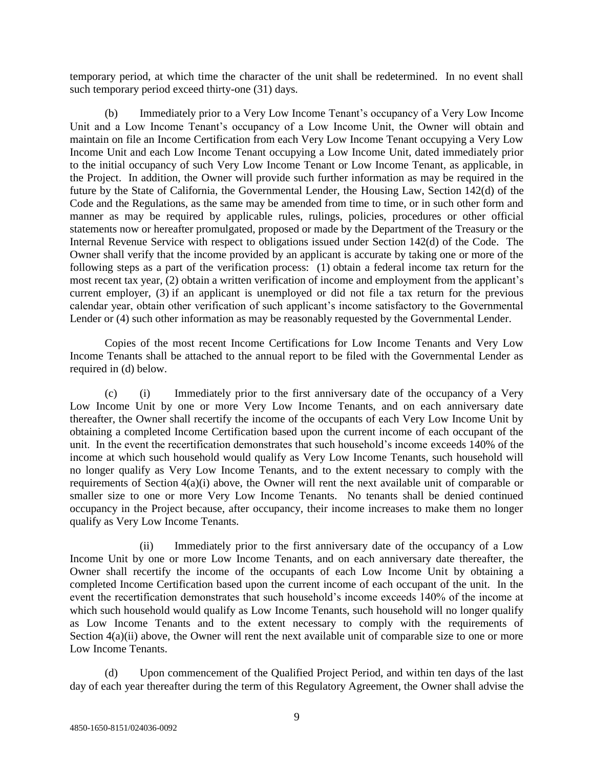temporary period, at which time the character of the unit shall be redetermined. In no event shall such temporary period exceed thirty-one (31) days.

(b) Immediately prior to a Very Low Income Tenant's occupancy of a Very Low Income Unit and a Low Income Tenant's occupancy of a Low Income Unit, the Owner will obtain and maintain on file an Income Certification from each Very Low Income Tenant occupying a Very Low Income Unit and each Low Income Tenant occupying a Low Income Unit, dated immediately prior to the initial occupancy of such Very Low Income Tenant or Low Income Tenant, as applicable, in the Project. In addition, the Owner will provide such further information as may be required in the future by the State of California, the Governmental Lender, the Housing Law, Section 142(d) of the Code and the Regulations, as the same may be amended from time to time, or in such other form and manner as may be required by applicable rules, rulings, policies, procedures or other official statements now or hereafter promulgated, proposed or made by the Department of the Treasury or the Internal Revenue Service with respect to obligations issued under Section 142(d) of the Code. The Owner shall verify that the income provided by an applicant is accurate by taking one or more of the following steps as a part of the verification process: (1) obtain a federal income tax return for the most recent tax year, (2) obtain a written verification of income and employment from the applicant's current employer, (3) if an applicant is unemployed or did not file a tax return for the previous calendar year, obtain other verification of such applicant's income satisfactory to the Governmental Lender or (4) such other information as may be reasonably requested by the Governmental Lender.

Copies of the most recent Income Certifications for Low Income Tenants and Very Low Income Tenants shall be attached to the annual report to be filed with the Governmental Lender as required in (d) below.

(c) (i) Immediately prior to the first anniversary date of the occupancy of a Very Low Income Unit by one or more Very Low Income Tenants, and on each anniversary date thereafter, the Owner shall recertify the income of the occupants of each Very Low Income Unit by obtaining a completed Income Certification based upon the current income of each occupant of the unit. In the event the recertification demonstrates that such household's income exceeds 140% of the income at which such household would qualify as Very Low Income Tenants, such household will no longer qualify as Very Low Income Tenants, and to the extent necessary to comply with the requirements of Section 4(a)(i) above, the Owner will rent the next available unit of comparable or smaller size to one or more Very Low Income Tenants. No tenants shall be denied continued occupancy in the Project because, after occupancy, their income increases to make them no longer qualify as Very Low Income Tenants.

(ii) Immediately prior to the first anniversary date of the occupancy of a Low Income Unit by one or more Low Income Tenants, and on each anniversary date thereafter, the Owner shall recertify the income of the occupants of each Low Income Unit by obtaining a completed Income Certification based upon the current income of each occupant of the unit. In the event the recertification demonstrates that such household's income exceeds 140% of the income at which such household would qualify as Low Income Tenants, such household will no longer qualify as Low Income Tenants and to the extent necessary to comply with the requirements of Section  $4(a)(ii)$  above, the Owner will rent the next available unit of comparable size to one or more Low Income Tenants.

(d) Upon commencement of the Qualified Project Period, and within ten days of the last day of each year thereafter during the term of this Regulatory Agreement, the Owner shall advise the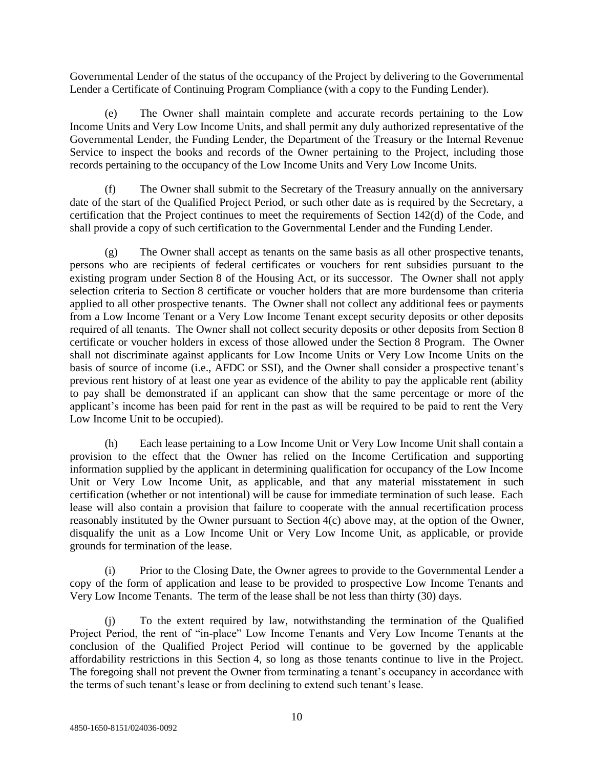Governmental Lender of the status of the occupancy of the Project by delivering to the Governmental Lender a Certificate of Continuing Program Compliance (with a copy to the Funding Lender).

(e) The Owner shall maintain complete and accurate records pertaining to the Low Income Units and Very Low Income Units, and shall permit any duly authorized representative of the Governmental Lender, the Funding Lender, the Department of the Treasury or the Internal Revenue Service to inspect the books and records of the Owner pertaining to the Project, including those records pertaining to the occupancy of the Low Income Units and Very Low Income Units.

(f) The Owner shall submit to the Secretary of the Treasury annually on the anniversary date of the start of the Qualified Project Period, or such other date as is required by the Secretary, a certification that the Project continues to meet the requirements of Section 142(d) of the Code, and shall provide a copy of such certification to the Governmental Lender and the Funding Lender.

(g) The Owner shall accept as tenants on the same basis as all other prospective tenants, persons who are recipients of federal certificates or vouchers for rent subsidies pursuant to the existing program under Section 8 of the Housing Act, or its successor. The Owner shall not apply selection criteria to Section 8 certificate or voucher holders that are more burdensome than criteria applied to all other prospective tenants. The Owner shall not collect any additional fees or payments from a Low Income Tenant or a Very Low Income Tenant except security deposits or other deposits required of all tenants. The Owner shall not collect security deposits or other deposits from Section 8 certificate or voucher holders in excess of those allowed under the Section 8 Program. The Owner shall not discriminate against applicants for Low Income Units or Very Low Income Units on the basis of source of income (i.e., AFDC or SSI), and the Owner shall consider a prospective tenant's previous rent history of at least one year as evidence of the ability to pay the applicable rent (ability to pay shall be demonstrated if an applicant can show that the same percentage or more of the applicant's income has been paid for rent in the past as will be required to be paid to rent the Very Low Income Unit to be occupied).

(h) Each lease pertaining to a Low Income Unit or Very Low Income Unit shall contain a provision to the effect that the Owner has relied on the Income Certification and supporting information supplied by the applicant in determining qualification for occupancy of the Low Income Unit or Very Low Income Unit, as applicable, and that any material misstatement in such certification (whether or not intentional) will be cause for immediate termination of such lease. Each lease will also contain a provision that failure to cooperate with the annual recertification process reasonably instituted by the Owner pursuant to Section 4(c) above may, at the option of the Owner, disqualify the unit as a Low Income Unit or Very Low Income Unit, as applicable, or provide grounds for termination of the lease.

(i) Prior to the Closing Date, the Owner agrees to provide to the Governmental Lender a copy of the form of application and lease to be provided to prospective Low Income Tenants and Very Low Income Tenants. The term of the lease shall be not less than thirty (30) days.

(j) To the extent required by law, notwithstanding the termination of the Qualified Project Period, the rent of "in-place" Low Income Tenants and Very Low Income Tenants at the conclusion of the Qualified Project Period will continue to be governed by the applicable affordability restrictions in this Section 4, so long as those tenants continue to live in the Project. The foregoing shall not prevent the Owner from terminating a tenant's occupancy in accordance with the terms of such tenant's lease or from declining to extend such tenant's lease.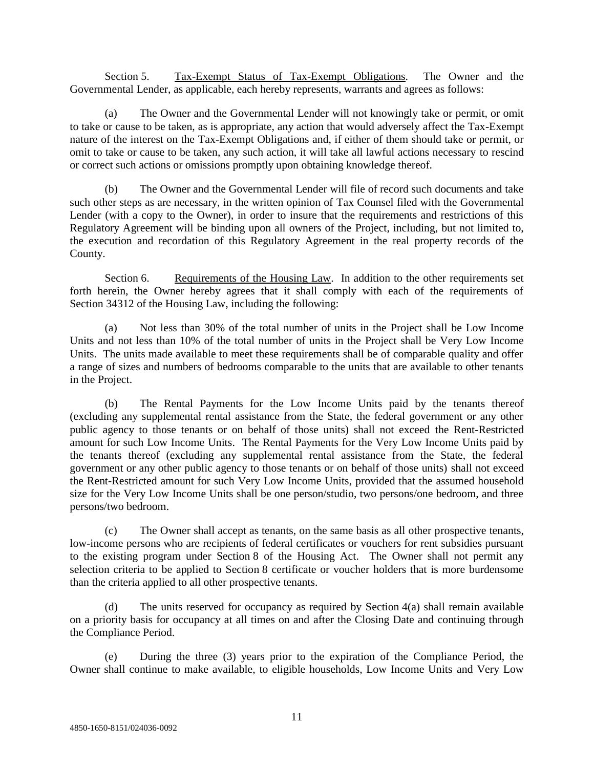Section 5. Tax-Exempt Status of Tax-Exempt Obligations. The Owner and the Governmental Lender, as applicable, each hereby represents, warrants and agrees as follows:

(a) The Owner and the Governmental Lender will not knowingly take or permit, or omit to take or cause to be taken, as is appropriate, any action that would adversely affect the Tax-Exempt nature of the interest on the Tax-Exempt Obligations and, if either of them should take or permit, or omit to take or cause to be taken, any such action, it will take all lawful actions necessary to rescind or correct such actions or omissions promptly upon obtaining knowledge thereof.

(b) The Owner and the Governmental Lender will file of record such documents and take such other steps as are necessary, in the written opinion of Tax Counsel filed with the Governmental Lender (with a copy to the Owner), in order to insure that the requirements and restrictions of this Regulatory Agreement will be binding upon all owners of the Project, including, but not limited to, the execution and recordation of this Regulatory Agreement in the real property records of the County.

Section 6. Requirements of the Housing Law. In addition to the other requirements set forth herein, the Owner hereby agrees that it shall comply with each of the requirements of Section 34312 of the Housing Law, including the following:

(a) Not less than 30% of the total number of units in the Project shall be Low Income Units and not less than 10% of the total number of units in the Project shall be Very Low Income Units. The units made available to meet these requirements shall be of comparable quality and offer a range of sizes and numbers of bedrooms comparable to the units that are available to other tenants in the Project.

(b) The Rental Payments for the Low Income Units paid by the tenants thereof (excluding any supplemental rental assistance from the State, the federal government or any other public agency to those tenants or on behalf of those units) shall not exceed the Rent-Restricted amount for such Low Income Units. The Rental Payments for the Very Low Income Units paid by the tenants thereof (excluding any supplemental rental assistance from the State, the federal government or any other public agency to those tenants or on behalf of those units) shall not exceed the Rent-Restricted amount for such Very Low Income Units, provided that the assumed household size for the Very Low Income Units shall be one person/studio, two persons/one bedroom, and three persons/two bedroom.

(c) The Owner shall accept as tenants, on the same basis as all other prospective tenants, low-income persons who are recipients of federal certificates or vouchers for rent subsidies pursuant to the existing program under Section 8 of the Housing Act. The Owner shall not permit any selection criteria to be applied to Section 8 certificate or voucher holders that is more burdensome than the criteria applied to all other prospective tenants.

(d) The units reserved for occupancy as required by Section  $4(a)$  shall remain available on a priority basis for occupancy at all times on and after the Closing Date and continuing through the Compliance Period.

(e) During the three (3) years prior to the expiration of the Compliance Period, the Owner shall continue to make available, to eligible households, Low Income Units and Very Low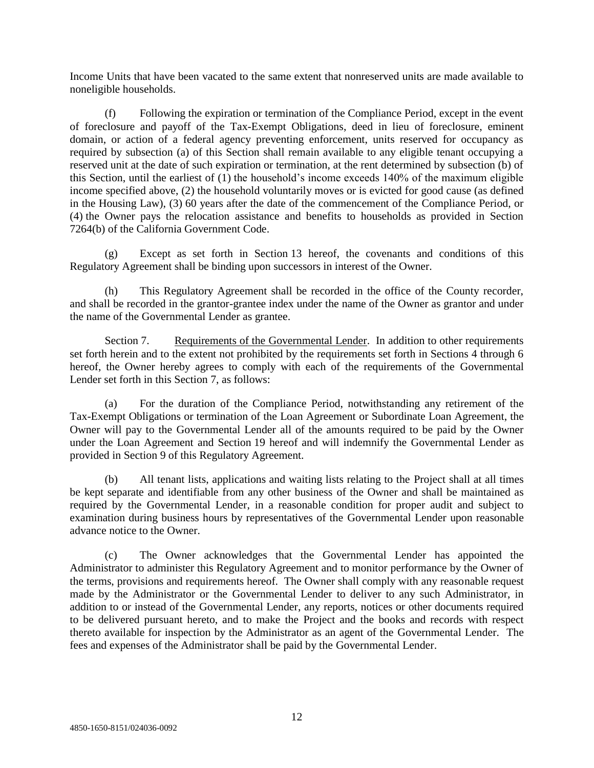Income Units that have been vacated to the same extent that nonreserved units are made available to noneligible households.

(f) Following the expiration or termination of the Compliance Period, except in the event of foreclosure and payoff of the Tax-Exempt Obligations, deed in lieu of foreclosure, eminent domain, or action of a federal agency preventing enforcement, units reserved for occupancy as required by subsection (a) of this Section shall remain available to any eligible tenant occupying a reserved unit at the date of such expiration or termination, at the rent determined by subsection (b) of this Section, until the earliest of (1) the household's income exceeds 140% of the maximum eligible income specified above, (2) the household voluntarily moves or is evicted for good cause (as defined in the Housing Law), (3) 60 years after the date of the commencement of the Compliance Period, or (4) the Owner pays the relocation assistance and benefits to households as provided in Section 7264(b) of the California Government Code.

(g) Except as set forth in Section 13 hereof, the covenants and conditions of this Regulatory Agreement shall be binding upon successors in interest of the Owner.

(h) This Regulatory Agreement shall be recorded in the office of the County recorder, and shall be recorded in the grantor-grantee index under the name of the Owner as grantor and under the name of the Governmental Lender as grantee.

Section 7. Requirements of the Governmental Lender. In addition to other requirements set forth herein and to the extent not prohibited by the requirements set forth in Sections 4 through 6 hereof, the Owner hereby agrees to comply with each of the requirements of the Governmental Lender set forth in this Section 7, as follows:

(a) For the duration of the Compliance Period, notwithstanding any retirement of the Tax-Exempt Obligations or termination of the Loan Agreement or Subordinate Loan Agreement, the Owner will pay to the Governmental Lender all of the amounts required to be paid by the Owner under the Loan Agreement and Section 19 hereof and will indemnify the Governmental Lender as provided in Section 9 of this Regulatory Agreement.

(b) All tenant lists, applications and waiting lists relating to the Project shall at all times be kept separate and identifiable from any other business of the Owner and shall be maintained as required by the Governmental Lender, in a reasonable condition for proper audit and subject to examination during business hours by representatives of the Governmental Lender upon reasonable advance notice to the Owner.

(c) The Owner acknowledges that the Governmental Lender has appointed the Administrator to administer this Regulatory Agreement and to monitor performance by the Owner of the terms, provisions and requirements hereof. The Owner shall comply with any reasonable request made by the Administrator or the Governmental Lender to deliver to any such Administrator, in addition to or instead of the Governmental Lender, any reports, notices or other documents required to be delivered pursuant hereto, and to make the Project and the books and records with respect thereto available for inspection by the Administrator as an agent of the Governmental Lender. The fees and expenses of the Administrator shall be paid by the Governmental Lender.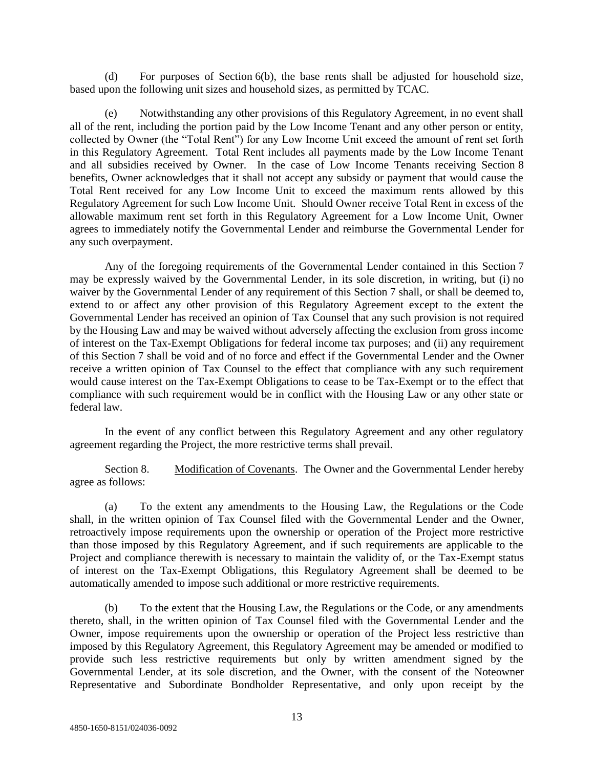(d) For purposes of Section 6(b), the base rents shall be adjusted for household size, based upon the following unit sizes and household sizes, as permitted by TCAC.

(e) Notwithstanding any other provisions of this Regulatory Agreement, in no event shall all of the rent, including the portion paid by the Low Income Tenant and any other person or entity, collected by Owner (the "Total Rent") for any Low Income Unit exceed the amount of rent set forth in this Regulatory Agreement. Total Rent includes all payments made by the Low Income Tenant and all subsidies received by Owner. In the case of Low Income Tenants receiving Section 8 benefits, Owner acknowledges that it shall not accept any subsidy or payment that would cause the Total Rent received for any Low Income Unit to exceed the maximum rents allowed by this Regulatory Agreement for such Low Income Unit. Should Owner receive Total Rent in excess of the allowable maximum rent set forth in this Regulatory Agreement for a Low Income Unit, Owner agrees to immediately notify the Governmental Lender and reimburse the Governmental Lender for any such overpayment.

Any of the foregoing requirements of the Governmental Lender contained in this Section 7 may be expressly waived by the Governmental Lender, in its sole discretion, in writing, but (i) no waiver by the Governmental Lender of any requirement of this Section 7 shall, or shall be deemed to, extend to or affect any other provision of this Regulatory Agreement except to the extent the Governmental Lender has received an opinion of Tax Counsel that any such provision is not required by the Housing Law and may be waived without adversely affecting the exclusion from gross income of interest on the Tax-Exempt Obligations for federal income tax purposes; and (ii) any requirement of this Section 7 shall be void and of no force and effect if the Governmental Lender and the Owner receive a written opinion of Tax Counsel to the effect that compliance with any such requirement would cause interest on the Tax-Exempt Obligations to cease to be Tax-Exempt or to the effect that compliance with such requirement would be in conflict with the Housing Law or any other state or federal law.

In the event of any conflict between this Regulatory Agreement and any other regulatory agreement regarding the Project, the more restrictive terms shall prevail.

Section 8. Modification of Covenants. The Owner and the Governmental Lender hereby agree as follows:

(a) To the extent any amendments to the Housing Law, the Regulations or the Code shall, in the written opinion of Tax Counsel filed with the Governmental Lender and the Owner, retroactively impose requirements upon the ownership or operation of the Project more restrictive than those imposed by this Regulatory Agreement, and if such requirements are applicable to the Project and compliance therewith is necessary to maintain the validity of, or the Tax-Exempt status of interest on the Tax-Exempt Obligations, this Regulatory Agreement shall be deemed to be automatically amended to impose such additional or more restrictive requirements.

(b) To the extent that the Housing Law, the Regulations or the Code, or any amendments thereto, shall, in the written opinion of Tax Counsel filed with the Governmental Lender and the Owner, impose requirements upon the ownership or operation of the Project less restrictive than imposed by this Regulatory Agreement, this Regulatory Agreement may be amended or modified to provide such less restrictive requirements but only by written amendment signed by the Governmental Lender, at its sole discretion, and the Owner, with the consent of the Noteowner Representative and Subordinate Bondholder Representative, and only upon receipt by the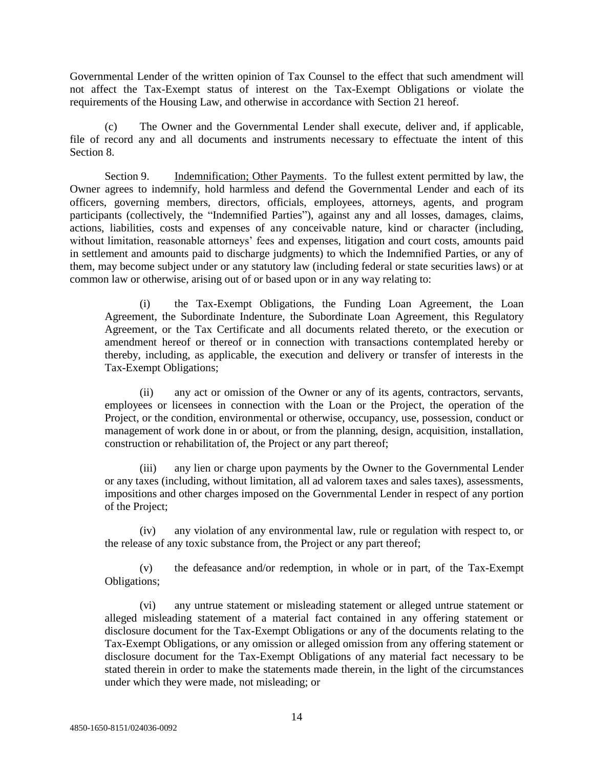Governmental Lender of the written opinion of Tax Counsel to the effect that such amendment will not affect the Tax-Exempt status of interest on the Tax-Exempt Obligations or violate the requirements of the Housing Law, and otherwise in accordance with Section 21 hereof.

(c) The Owner and the Governmental Lender shall execute, deliver and, if applicable, file of record any and all documents and instruments necessary to effectuate the intent of this Section 8.

Section 9. Indemnification; Other Payments. To the fullest extent permitted by law, the Owner agrees to indemnify, hold harmless and defend the Governmental Lender and each of its officers, governing members, directors, officials, employees, attorneys, agents, and program participants (collectively, the "Indemnified Parties"), against any and all losses, damages, claims, actions, liabilities, costs and expenses of any conceivable nature, kind or character (including, without limitation, reasonable attorneys' fees and expenses, litigation and court costs, amounts paid in settlement and amounts paid to discharge judgments) to which the Indemnified Parties, or any of them, may become subject under or any statutory law (including federal or state securities laws) or at common law or otherwise, arising out of or based upon or in any way relating to:

(i) the Tax-Exempt Obligations, the Funding Loan Agreement, the Loan Agreement, the Subordinate Indenture, the Subordinate Loan Agreement, this Regulatory Agreement, or the Tax Certificate and all documents related thereto, or the execution or amendment hereof or thereof or in connection with transactions contemplated hereby or thereby, including, as applicable, the execution and delivery or transfer of interests in the Tax-Exempt Obligations;

(ii) any act or omission of the Owner or any of its agents, contractors, servants, employees or licensees in connection with the Loan or the Project, the operation of the Project, or the condition, environmental or otherwise, occupancy, use, possession, conduct or management of work done in or about, or from the planning, design, acquisition, installation, construction or rehabilitation of, the Project or any part thereof;

any lien or charge upon payments by the Owner to the Governmental Lender or any taxes (including, without limitation, all ad valorem taxes and sales taxes), assessments, impositions and other charges imposed on the Governmental Lender in respect of any portion of the Project;

(iv) any violation of any environmental law, rule or regulation with respect to, or the release of any toxic substance from, the Project or any part thereof;

(v) the defeasance and/or redemption, in whole or in part, of the Tax-Exempt Obligations;

(vi) any untrue statement or misleading statement or alleged untrue statement or alleged misleading statement of a material fact contained in any offering statement or disclosure document for the Tax-Exempt Obligations or any of the documents relating to the Tax-Exempt Obligations, or any omission or alleged omission from any offering statement or disclosure document for the Tax-Exempt Obligations of any material fact necessary to be stated therein in order to make the statements made therein, in the light of the circumstances under which they were made, not misleading; or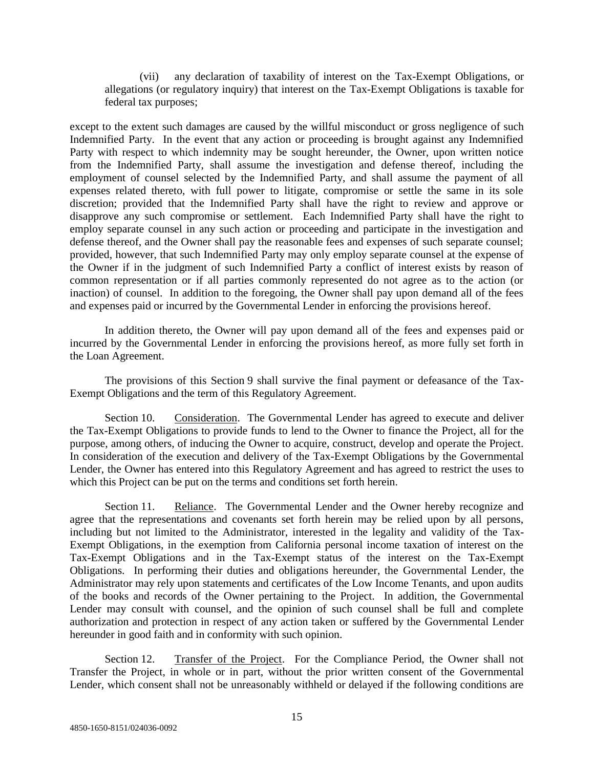(vii) any declaration of taxability of interest on the Tax-Exempt Obligations, or allegations (or regulatory inquiry) that interest on the Tax-Exempt Obligations is taxable for federal tax purposes;

except to the extent such damages are caused by the willful misconduct or gross negligence of such Indemnified Party. In the event that any action or proceeding is brought against any Indemnified Party with respect to which indemnity may be sought hereunder, the Owner, upon written notice from the Indemnified Party, shall assume the investigation and defense thereof, including the employment of counsel selected by the Indemnified Party, and shall assume the payment of all expenses related thereto, with full power to litigate, compromise or settle the same in its sole discretion; provided that the Indemnified Party shall have the right to review and approve or disapprove any such compromise or settlement. Each Indemnified Party shall have the right to employ separate counsel in any such action or proceeding and participate in the investigation and defense thereof, and the Owner shall pay the reasonable fees and expenses of such separate counsel; provided, however, that such Indemnified Party may only employ separate counsel at the expense of the Owner if in the judgment of such Indemnified Party a conflict of interest exists by reason of common representation or if all parties commonly represented do not agree as to the action (or inaction) of counsel. In addition to the foregoing, the Owner shall pay upon demand all of the fees and expenses paid or incurred by the Governmental Lender in enforcing the provisions hereof.

In addition thereto, the Owner will pay upon demand all of the fees and expenses paid or incurred by the Governmental Lender in enforcing the provisions hereof, as more fully set forth in the Loan Agreement.

The provisions of this Section 9 shall survive the final payment or defeasance of the Tax-Exempt Obligations and the term of this Regulatory Agreement.

Section 10. Consideration. The Governmental Lender has agreed to execute and deliver the Tax-Exempt Obligations to provide funds to lend to the Owner to finance the Project, all for the purpose, among others, of inducing the Owner to acquire, construct, develop and operate the Project. In consideration of the execution and delivery of the Tax-Exempt Obligations by the Governmental Lender, the Owner has entered into this Regulatory Agreement and has agreed to restrict the uses to which this Project can be put on the terms and conditions set forth herein.

Section 11. Reliance. The Governmental Lender and the Owner hereby recognize and agree that the representations and covenants set forth herein may be relied upon by all persons, including but not limited to the Administrator, interested in the legality and validity of the Tax-Exempt Obligations, in the exemption from California personal income taxation of interest on the Tax-Exempt Obligations and in the Tax-Exempt status of the interest on the Tax-Exempt Obligations. In performing their duties and obligations hereunder, the Governmental Lender, the Administrator may rely upon statements and certificates of the Low Income Tenants, and upon audits of the books and records of the Owner pertaining to the Project. In addition, the Governmental Lender may consult with counsel, and the opinion of such counsel shall be full and complete authorization and protection in respect of any action taken or suffered by the Governmental Lender hereunder in good faith and in conformity with such opinion.

Section 12. Transfer of the Project. For the Compliance Period, the Owner shall not Transfer the Project, in whole or in part, without the prior written consent of the Governmental Lender, which consent shall not be unreasonably withheld or delayed if the following conditions are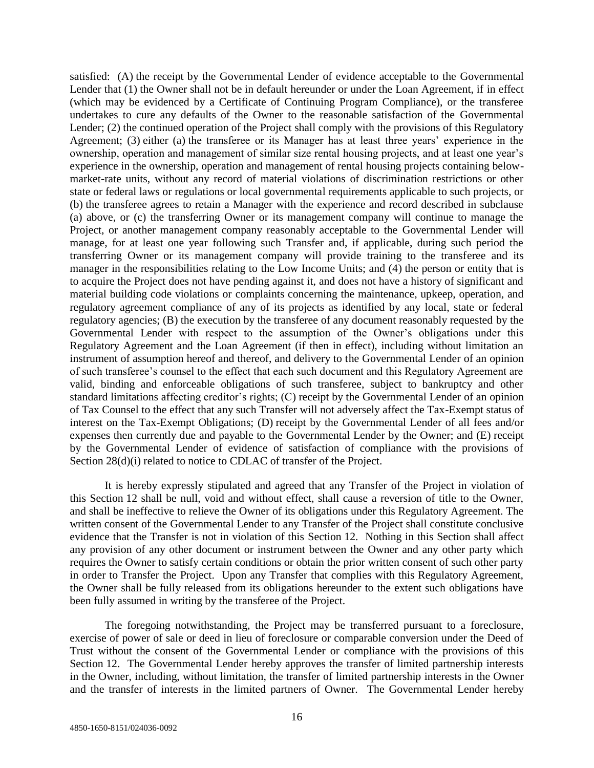satisfied: (A) the receipt by the Governmental Lender of evidence acceptable to the Governmental Lender that (1) the Owner shall not be in default hereunder or under the Loan Agreement, if in effect (which may be evidenced by a Certificate of Continuing Program Compliance), or the transferee undertakes to cure any defaults of the Owner to the reasonable satisfaction of the Governmental Lender; (2) the continued operation of the Project shall comply with the provisions of this Regulatory Agreement; (3) either (a) the transferee or its Manager has at least three years' experience in the ownership, operation and management of similar size rental housing projects, and at least one year's experience in the ownership, operation and management of rental housing projects containing belowmarket-rate units, without any record of material violations of discrimination restrictions or other state or federal laws or regulations or local governmental requirements applicable to such projects, or (b) the transferee agrees to retain a Manager with the experience and record described in subclause (a) above, or (c) the transferring Owner or its management company will continue to manage the Project, or another management company reasonably acceptable to the Governmental Lender will manage, for at least one year following such Transfer and, if applicable, during such period the transferring Owner or its management company will provide training to the transferee and its manager in the responsibilities relating to the Low Income Units; and (4) the person or entity that is to acquire the Project does not have pending against it, and does not have a history of significant and material building code violations or complaints concerning the maintenance, upkeep, operation, and regulatory agreement compliance of any of its projects as identified by any local, state or federal regulatory agencies; (B) the execution by the transferee of any document reasonably requested by the Governmental Lender with respect to the assumption of the Owner's obligations under this Regulatory Agreement and the Loan Agreement (if then in effect), including without limitation an instrument of assumption hereof and thereof, and delivery to the Governmental Lender of an opinion of such transferee's counsel to the effect that each such document and this Regulatory Agreement are valid, binding and enforceable obligations of such transferee, subject to bankruptcy and other standard limitations affecting creditor's rights; (C) receipt by the Governmental Lender of an opinion of Tax Counsel to the effect that any such Transfer will not adversely affect the Tax-Exempt status of interest on the Tax-Exempt Obligations; (D) receipt by the Governmental Lender of all fees and/or expenses then currently due and payable to the Governmental Lender by the Owner; and (E) receipt by the Governmental Lender of evidence of satisfaction of compliance with the provisions of Section 28(d)(i) related to notice to CDLAC of transfer of the Project.

It is hereby expressly stipulated and agreed that any Transfer of the Project in violation of this Section 12 shall be null, void and without effect, shall cause a reversion of title to the Owner, and shall be ineffective to relieve the Owner of its obligations under this Regulatory Agreement. The written consent of the Governmental Lender to any Transfer of the Project shall constitute conclusive evidence that the Transfer is not in violation of this Section 12. Nothing in this Section shall affect any provision of any other document or instrument between the Owner and any other party which requires the Owner to satisfy certain conditions or obtain the prior written consent of such other party in order to Transfer the Project. Upon any Transfer that complies with this Regulatory Agreement, the Owner shall be fully released from its obligations hereunder to the extent such obligations have been fully assumed in writing by the transferee of the Project.

The foregoing notwithstanding, the Project may be transferred pursuant to a foreclosure, exercise of power of sale or deed in lieu of foreclosure or comparable conversion under the Deed of Trust without the consent of the Governmental Lender or compliance with the provisions of this Section 12. The Governmental Lender hereby approves the transfer of limited partnership interests in the Owner, including, without limitation, the transfer of limited partnership interests in the Owner and the transfer of interests in the limited partners of Owner. The Governmental Lender hereby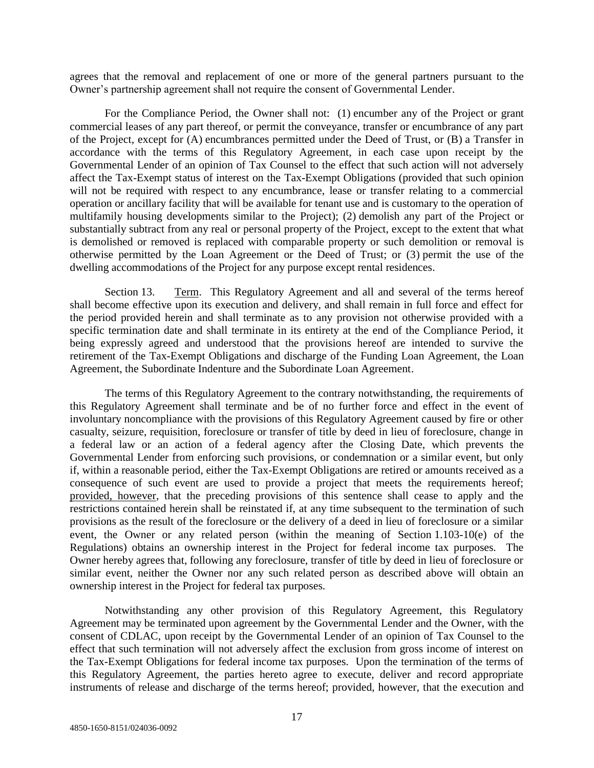agrees that the removal and replacement of one or more of the general partners pursuant to the Owner's partnership agreement shall not require the consent of Governmental Lender.

For the Compliance Period, the Owner shall not: (1) encumber any of the Project or grant commercial leases of any part thereof, or permit the conveyance, transfer or encumbrance of any part of the Project, except for (A) encumbrances permitted under the Deed of Trust, or (B) a Transfer in accordance with the terms of this Regulatory Agreement, in each case upon receipt by the Governmental Lender of an opinion of Tax Counsel to the effect that such action will not adversely affect the Tax-Exempt status of interest on the Tax-Exempt Obligations (provided that such opinion will not be required with respect to any encumbrance, lease or transfer relating to a commercial operation or ancillary facility that will be available for tenant use and is customary to the operation of multifamily housing developments similar to the Project); (2) demolish any part of the Project or substantially subtract from any real or personal property of the Project, except to the extent that what is demolished or removed is replaced with comparable property or such demolition or removal is otherwise permitted by the Loan Agreement or the Deed of Trust; or (3) permit the use of the dwelling accommodations of the Project for any purpose except rental residences.

Section 13. Term. This Regulatory Agreement and all and several of the terms hereof shall become effective upon its execution and delivery, and shall remain in full force and effect for the period provided herein and shall terminate as to any provision not otherwise provided with a specific termination date and shall terminate in its entirety at the end of the Compliance Period, it being expressly agreed and understood that the provisions hereof are intended to survive the retirement of the Tax-Exempt Obligations and discharge of the Funding Loan Agreement, the Loan Agreement, the Subordinate Indenture and the Subordinate Loan Agreement.

The terms of this Regulatory Agreement to the contrary notwithstanding, the requirements of this Regulatory Agreement shall terminate and be of no further force and effect in the event of involuntary noncompliance with the provisions of this Regulatory Agreement caused by fire or other casualty, seizure, requisition, foreclosure or transfer of title by deed in lieu of foreclosure, change in a federal law or an action of a federal agency after the Closing Date, which prevents the Governmental Lender from enforcing such provisions, or condemnation or a similar event, but only if, within a reasonable period, either the Tax-Exempt Obligations are retired or amounts received as a consequence of such event are used to provide a project that meets the requirements hereof; provided, however, that the preceding provisions of this sentence shall cease to apply and the restrictions contained herein shall be reinstated if, at any time subsequent to the termination of such provisions as the result of the foreclosure or the delivery of a deed in lieu of foreclosure or a similar event, the Owner or any related person (within the meaning of Section 1.103-10(e) of the Regulations) obtains an ownership interest in the Project for federal income tax purposes. The Owner hereby agrees that, following any foreclosure, transfer of title by deed in lieu of foreclosure or similar event, neither the Owner nor any such related person as described above will obtain an ownership interest in the Project for federal tax purposes.

Notwithstanding any other provision of this Regulatory Agreement, this Regulatory Agreement may be terminated upon agreement by the Governmental Lender and the Owner, with the consent of CDLAC, upon receipt by the Governmental Lender of an opinion of Tax Counsel to the effect that such termination will not adversely affect the exclusion from gross income of interest on the Tax-Exempt Obligations for federal income tax purposes. Upon the termination of the terms of this Regulatory Agreement, the parties hereto agree to execute, deliver and record appropriate instruments of release and discharge of the terms hereof; provided, however, that the execution and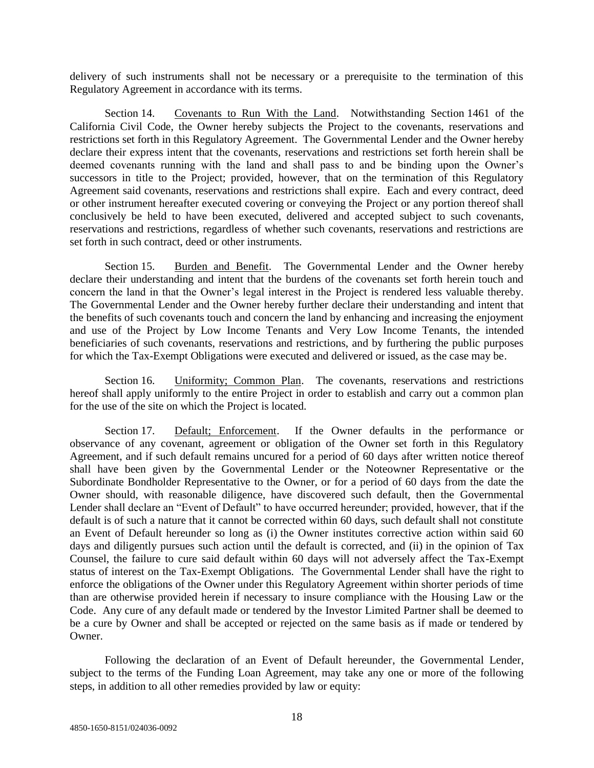delivery of such instruments shall not be necessary or a prerequisite to the termination of this Regulatory Agreement in accordance with its terms.

Section 14. Covenants to Run With the Land. Notwithstanding Section 1461 of the California Civil Code, the Owner hereby subjects the Project to the covenants, reservations and restrictions set forth in this Regulatory Agreement. The Governmental Lender and the Owner hereby declare their express intent that the covenants, reservations and restrictions set forth herein shall be deemed covenants running with the land and shall pass to and be binding upon the Owner's successors in title to the Project; provided, however, that on the termination of this Regulatory Agreement said covenants, reservations and restrictions shall expire. Each and every contract, deed or other instrument hereafter executed covering or conveying the Project or any portion thereof shall conclusively be held to have been executed, delivered and accepted subject to such covenants, reservations and restrictions, regardless of whether such covenants, reservations and restrictions are set forth in such contract, deed or other instruments.

Section 15. Burden and Benefit. The Governmental Lender and the Owner hereby declare their understanding and intent that the burdens of the covenants set forth herein touch and concern the land in that the Owner's legal interest in the Project is rendered less valuable thereby. The Governmental Lender and the Owner hereby further declare their understanding and intent that the benefits of such covenants touch and concern the land by enhancing and increasing the enjoyment and use of the Project by Low Income Tenants and Very Low Income Tenants, the intended beneficiaries of such covenants, reservations and restrictions, and by furthering the public purposes for which the Tax-Exempt Obligations were executed and delivered or issued, as the case may be.

Section 16. Uniformity; Common Plan. The covenants, reservations and restrictions hereof shall apply uniformly to the entire Project in order to establish and carry out a common plan for the use of the site on which the Project is located.

Section 17. Default; Enforcement. If the Owner defaults in the performance or observance of any covenant, agreement or obligation of the Owner set forth in this Regulatory Agreement, and if such default remains uncured for a period of 60 days after written notice thereof shall have been given by the Governmental Lender or the Noteowner Representative or the Subordinate Bondholder Representative to the Owner, or for a period of 60 days from the date the Owner should, with reasonable diligence, have discovered such default, then the Governmental Lender shall declare an "Event of Default" to have occurred hereunder; provided, however, that if the default is of such a nature that it cannot be corrected within 60 days, such default shall not constitute an Event of Default hereunder so long as (i) the Owner institutes corrective action within said 60 days and diligently pursues such action until the default is corrected, and (ii) in the opinion of Tax Counsel, the failure to cure said default within 60 days will not adversely affect the Tax-Exempt status of interest on the Tax-Exempt Obligations. The Governmental Lender shall have the right to enforce the obligations of the Owner under this Regulatory Agreement within shorter periods of time than are otherwise provided herein if necessary to insure compliance with the Housing Law or the Code. Any cure of any default made or tendered by the Investor Limited Partner shall be deemed to be a cure by Owner and shall be accepted or rejected on the same basis as if made or tendered by Owner.

Following the declaration of an Event of Default hereunder, the Governmental Lender, subject to the terms of the Funding Loan Agreement, may take any one or more of the following steps, in addition to all other remedies provided by law or equity: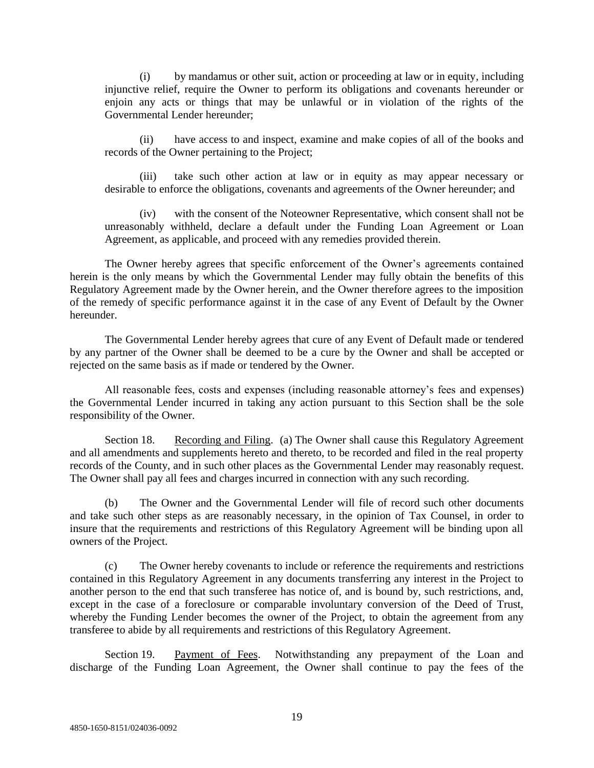(i) by mandamus or other suit, action or proceeding at law or in equity, including injunctive relief, require the Owner to perform its obligations and covenants hereunder or enjoin any acts or things that may be unlawful or in violation of the rights of the Governmental Lender hereunder;

(ii) have access to and inspect, examine and make copies of all of the books and records of the Owner pertaining to the Project;

(iii) take such other action at law or in equity as may appear necessary or desirable to enforce the obligations, covenants and agreements of the Owner hereunder; and

(iv) with the consent of the Noteowner Representative, which consent shall not be unreasonably withheld, declare a default under the Funding Loan Agreement or Loan Agreement, as applicable, and proceed with any remedies provided therein.

The Owner hereby agrees that specific enforcement of the Owner's agreements contained herein is the only means by which the Governmental Lender may fully obtain the benefits of this Regulatory Agreement made by the Owner herein, and the Owner therefore agrees to the imposition of the remedy of specific performance against it in the case of any Event of Default by the Owner hereunder.

The Governmental Lender hereby agrees that cure of any Event of Default made or tendered by any partner of the Owner shall be deemed to be a cure by the Owner and shall be accepted or rejected on the same basis as if made or tendered by the Owner.

All reasonable fees, costs and expenses (including reasonable attorney's fees and expenses) the Governmental Lender incurred in taking any action pursuant to this Section shall be the sole responsibility of the Owner.

Section 18. Recording and Filing. (a) The Owner shall cause this Regulatory Agreement and all amendments and supplements hereto and thereto, to be recorded and filed in the real property records of the County, and in such other places as the Governmental Lender may reasonably request. The Owner shall pay all fees and charges incurred in connection with any such recording.

(b) The Owner and the Governmental Lender will file of record such other documents and take such other steps as are reasonably necessary, in the opinion of Tax Counsel, in order to insure that the requirements and restrictions of this Regulatory Agreement will be binding upon all owners of the Project.

(c) The Owner hereby covenants to include or reference the requirements and restrictions contained in this Regulatory Agreement in any documents transferring any interest in the Project to another person to the end that such transferee has notice of, and is bound by, such restrictions, and, except in the case of a foreclosure or comparable involuntary conversion of the Deed of Trust, whereby the Funding Lender becomes the owner of the Project, to obtain the agreement from any transferee to abide by all requirements and restrictions of this Regulatory Agreement.

Section 19. Payment of Fees. Notwithstanding any prepayment of the Loan and discharge of the Funding Loan Agreement, the Owner shall continue to pay the fees of the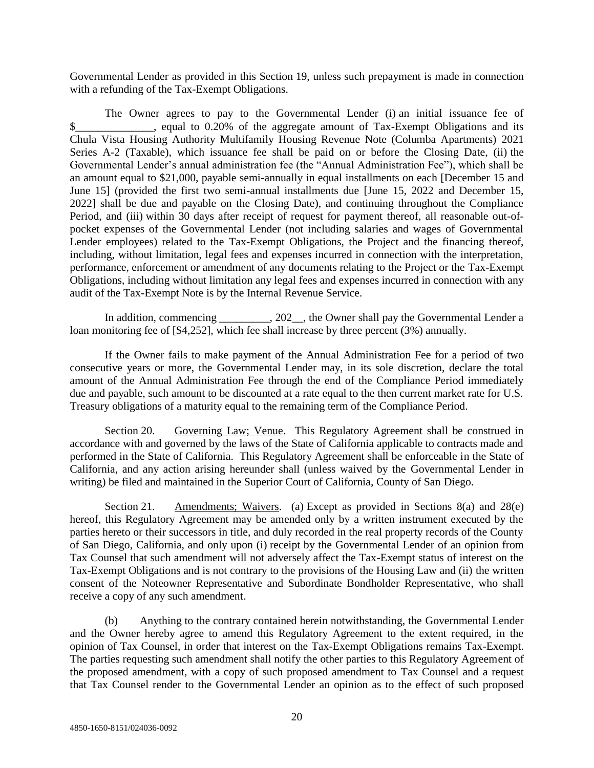Governmental Lender as provided in this Section 19, unless such prepayment is made in connection with a refunding of the Tax-Exempt Obligations.

The Owner agrees to pay to the Governmental Lender (i) an initial issuance fee of \$ equal to 0.20% of the aggregate amount of Tax-Exempt Obligations and its Chula Vista Housing Authority Multifamily Housing Revenue Note (Columba Apartments) 2021 Series A-2 (Taxable), which issuance fee shall be paid on or before the Closing Date, (ii) the Governmental Lender's annual administration fee (the "Annual Administration Fee"), which shall be an amount equal to \$21,000, payable semi-annually in equal installments on each [December 15 and June 15] (provided the first two semi-annual installments due [June 15, 2022 and December 15, 2022] shall be due and payable on the Closing Date), and continuing throughout the Compliance Period, and (iii) within 30 days after receipt of request for payment thereof, all reasonable out-ofpocket expenses of the Governmental Lender (not including salaries and wages of Governmental Lender employees) related to the Tax-Exempt Obligations, the Project and the financing thereof, including, without limitation, legal fees and expenses incurred in connection with the interpretation, performance, enforcement or amendment of any documents relating to the Project or the Tax-Exempt Obligations, including without limitation any legal fees and expenses incurred in connection with any audit of the Tax-Exempt Note is by the Internal Revenue Service.

In addition, commencing \_\_\_\_\_\_\_\_, 202\_, the Owner shall pay the Governmental Lender a loan monitoring fee of [\$4,252], which fee shall increase by three percent (3%) annually.

If the Owner fails to make payment of the Annual Administration Fee for a period of two consecutive years or more, the Governmental Lender may, in its sole discretion, declare the total amount of the Annual Administration Fee through the end of the Compliance Period immediately due and payable, such amount to be discounted at a rate equal to the then current market rate for U.S. Treasury obligations of a maturity equal to the remaining term of the Compliance Period.

Section 20. Governing Law; Venue. This Regulatory Agreement shall be construed in accordance with and governed by the laws of the State of California applicable to contracts made and performed in the State of California. This Regulatory Agreement shall be enforceable in the State of California, and any action arising hereunder shall (unless waived by the Governmental Lender in writing) be filed and maintained in the Superior Court of California, County of San Diego.

Section 21. Amendments; Waivers. (a) Except as provided in Sections 8(a) and 28(e) hereof, this Regulatory Agreement may be amended only by a written instrument executed by the parties hereto or their successors in title, and duly recorded in the real property records of the County of San Diego, California, and only upon (i) receipt by the Governmental Lender of an opinion from Tax Counsel that such amendment will not adversely affect the Tax-Exempt status of interest on the Tax-Exempt Obligations and is not contrary to the provisions of the Housing Law and (ii) the written consent of the Noteowner Representative and Subordinate Bondholder Representative, who shall receive a copy of any such amendment.

(b) Anything to the contrary contained herein notwithstanding, the Governmental Lender and the Owner hereby agree to amend this Regulatory Agreement to the extent required, in the opinion of Tax Counsel, in order that interest on the Tax-Exempt Obligations remains Tax-Exempt. The parties requesting such amendment shall notify the other parties to this Regulatory Agreement of the proposed amendment, with a copy of such proposed amendment to Tax Counsel and a request that Tax Counsel render to the Governmental Lender an opinion as to the effect of such proposed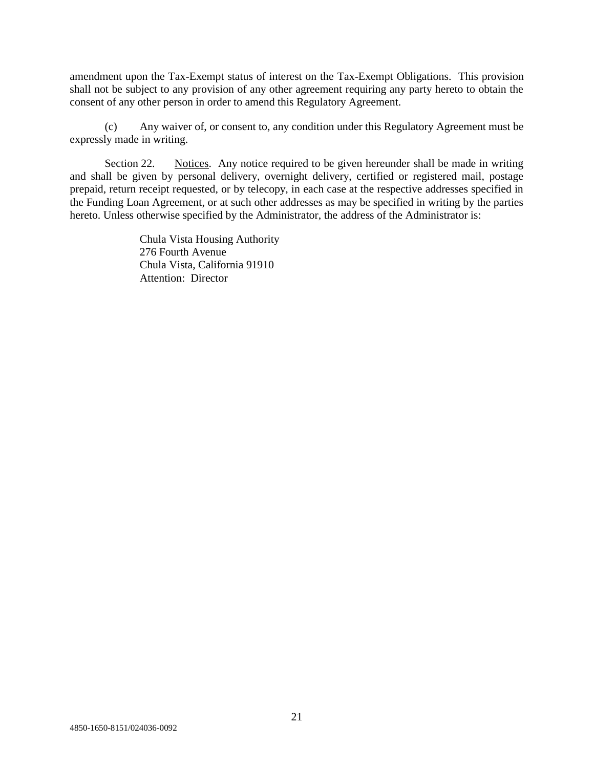amendment upon the Tax-Exempt status of interest on the Tax-Exempt Obligations. This provision shall not be subject to any provision of any other agreement requiring any party hereto to obtain the consent of any other person in order to amend this Regulatory Agreement.

(c) Any waiver of, or consent to, any condition under this Regulatory Agreement must be expressly made in writing.

Section 22. Notices. Any notice required to be given hereunder shall be made in writing and shall be given by personal delivery, overnight delivery, certified or registered mail, postage prepaid, return receipt requested, or by telecopy, in each case at the respective addresses specified in the Funding Loan Agreement, or at such other addresses as may be specified in writing by the parties hereto. Unless otherwise specified by the Administrator, the address of the Administrator is:

> Chula Vista Housing Authority 276 Fourth Avenue Chula Vista, California 91910 Attention: Director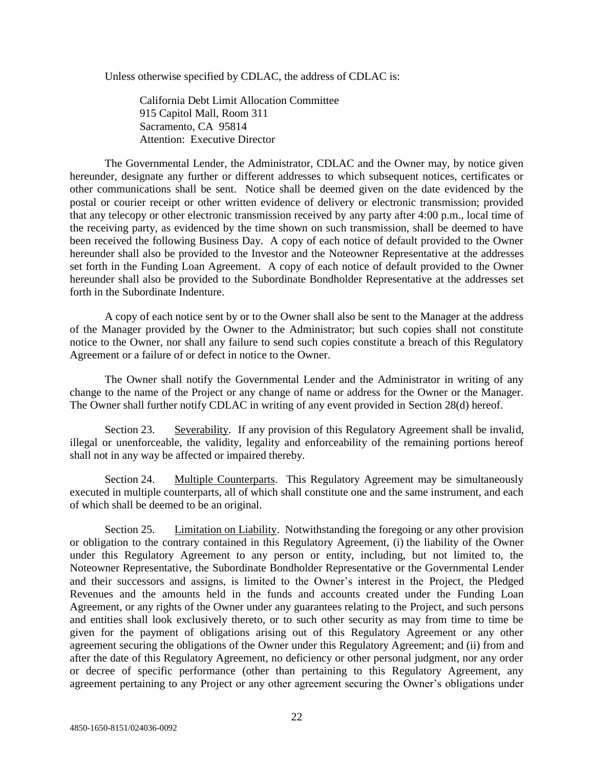Unless otherwise specified by CDLAC, the address of CDLAC is:

California Debt Limit Allocation Committee 915 Capitol Mall, Room 311 Sacramento, CA 95814 Attention: Executive Director

The Governmental Lender, the Administrator, CDLAC and the Owner may, by notice given hereunder, designate any further or different addresses to which subsequent notices, certificates or other communications shall be sent. Notice shall be deemed given on the date evidenced by the postal or courier receipt or other written evidence of delivery or electronic transmission; provided that any telecopy or other electronic transmission received by any party after 4:00 p.m., local time of the receiving party, as evidenced by the time shown on such transmission, shall be deemed to have been received the following Business Day. A copy of each notice of default provided to the Owner hereunder shall also be provided to the Investor and the Noteowner Representative at the addresses set forth in the Funding Loan Agreement. A copy of each notice of default provided to the Owner hereunder shall also be provided to the Subordinate Bondholder Representative at the addresses set forth in the Subordinate Indenture.

A copy of each notice sent by or to the Owner shall also be sent to the Manager at the address of the Manager provided by the Owner to the Administrator; but such copies shall not constitute notice to the Owner, nor shall any failure to send such copies constitute a breach of this Regulatory Agreement or a failure of or defect in notice to the Owner.

The Owner shall notify the Governmental Lender and the Administrator in writing of any change to the name of the Project or any change of name or address for the Owner or the Manager. The Owner shall further notify CDLAC in writing of any event provided in Section 28(d) hereof.

Section 23. Severability. If any provision of this Regulatory Agreement shall be invalid, illegal or unenforceable, the validity, legality and enforceability of the remaining portions hereof shall not in any way be affected or impaired thereby.

Section 24. Multiple Counterparts. This Regulatory Agreement may be simultaneously executed in multiple counterparts, all of which shall constitute one and the same instrument, and each of which shall be deemed to be an original.

Section 25. Limitation on Liability. Notwithstanding the foregoing or any other provision or obligation to the contrary contained in this Regulatory Agreement, (i) the liability of the Owner under this Regulatory Agreement to any person or entity, including, but not limited to, the Noteowner Representative, the Subordinate Bondholder Representative or the Governmental Lender and their successors and assigns, is limited to the Owner's interest in the Project, the Pledged Revenues and the amounts held in the funds and accounts created under the Funding Loan Agreement, or any rights of the Owner under any guarantees relating to the Project, and such persons and entities shall look exclusively thereto, or to such other security as may from time to time be given for the payment of obligations arising out of this Regulatory Agreement or any other agreement securing the obligations of the Owner under this Regulatory Agreement; and (ii) from and after the date of this Regulatory Agreement, no deficiency or other personal judgment, nor any order or decree of specific performance (other than pertaining to this Regulatory Agreement, any agreement pertaining to any Project or any other agreement securing the Owner's obligations under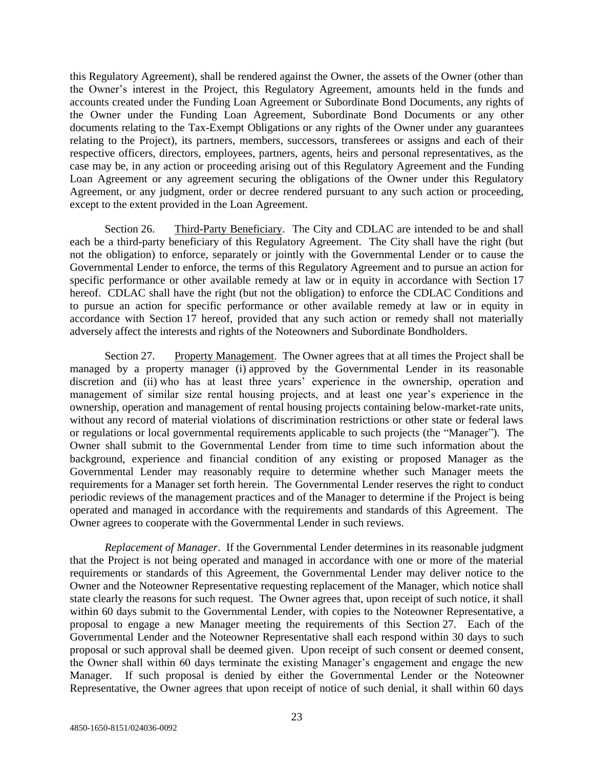this Regulatory Agreement), shall be rendered against the Owner, the assets of the Owner (other than the Owner's interest in the Project, this Regulatory Agreement, amounts held in the funds and accounts created under the Funding Loan Agreement or Subordinate Bond Documents, any rights of the Owner under the Funding Loan Agreement, Subordinate Bond Documents or any other documents relating to the Tax-Exempt Obligations or any rights of the Owner under any guarantees relating to the Project), its partners, members, successors, transferees or assigns and each of their respective officers, directors, employees, partners, agents, heirs and personal representatives, as the case may be, in any action or proceeding arising out of this Regulatory Agreement and the Funding Loan Agreement or any agreement securing the obligations of the Owner under this Regulatory Agreement, or any judgment, order or decree rendered pursuant to any such action or proceeding, except to the extent provided in the Loan Agreement.

Section 26. Third-Party Beneficiary. The City and CDLAC are intended to be and shall each be a third-party beneficiary of this Regulatory Agreement. The City shall have the right (but not the obligation) to enforce, separately or jointly with the Governmental Lender or to cause the Governmental Lender to enforce, the terms of this Regulatory Agreement and to pursue an action for specific performance or other available remedy at law or in equity in accordance with Section 17 hereof. CDLAC shall have the right (but not the obligation) to enforce the CDLAC Conditions and to pursue an action for specific performance or other available remedy at law or in equity in accordance with Section 17 hereof, provided that any such action or remedy shall not materially adversely affect the interests and rights of the Noteowners and Subordinate Bondholders.

Section 27. Property Management. The Owner agrees that at all times the Project shall be managed by a property manager (i) approved by the Governmental Lender in its reasonable discretion and (ii) who has at least three years' experience in the ownership, operation and management of similar size rental housing projects, and at least one year's experience in the ownership, operation and management of rental housing projects containing below-market-rate units, without any record of material violations of discrimination restrictions or other state or federal laws or regulations or local governmental requirements applicable to such projects (the "Manager"). The Owner shall submit to the Governmental Lender from time to time such information about the background, experience and financial condition of any existing or proposed Manager as the Governmental Lender may reasonably require to determine whether such Manager meets the requirements for a Manager set forth herein. The Governmental Lender reserves the right to conduct periodic reviews of the management practices and of the Manager to determine if the Project is being operated and managed in accordance with the requirements and standards of this Agreement. The Owner agrees to cooperate with the Governmental Lender in such reviews.

*Replacement of Manager*. If the Governmental Lender determines in its reasonable judgment that the Project is not being operated and managed in accordance with one or more of the material requirements or standards of this Agreement, the Governmental Lender may deliver notice to the Owner and the Noteowner Representative requesting replacement of the Manager, which notice shall state clearly the reasons for such request. The Owner agrees that, upon receipt of such notice, it shall within 60 days submit to the Governmental Lender, with copies to the Noteowner Representative, a proposal to engage a new Manager meeting the requirements of this Section 27. Each of the Governmental Lender and the Noteowner Representative shall each respond within 30 days to such proposal or such approval shall be deemed given. Upon receipt of such consent or deemed consent, the Owner shall within 60 days terminate the existing Manager's engagement and engage the new Manager. If such proposal is denied by either the Governmental Lender or the Noteowner Representative, the Owner agrees that upon receipt of notice of such denial, it shall within 60 days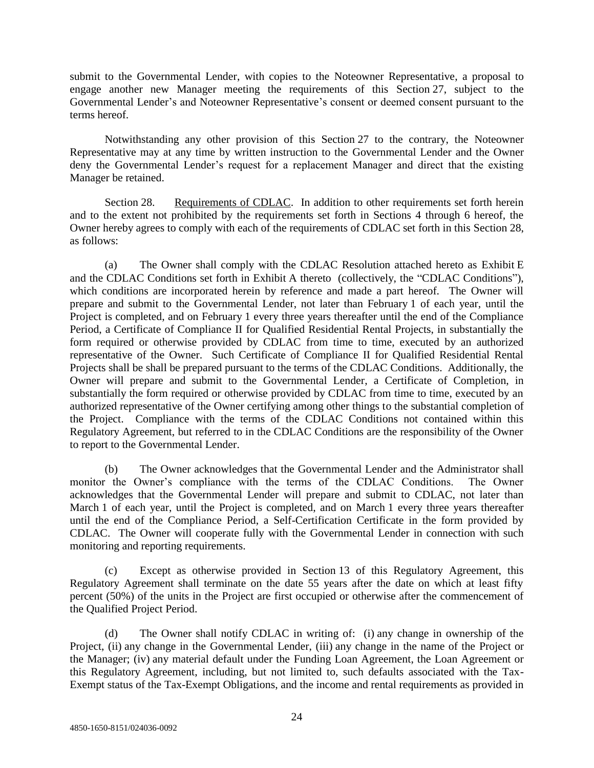submit to the Governmental Lender, with copies to the Noteowner Representative, a proposal to engage another new Manager meeting the requirements of this Section 27, subject to the Governmental Lender's and Noteowner Representative's consent or deemed consent pursuant to the terms hereof.

Notwithstanding any other provision of this Section 27 to the contrary, the Noteowner Representative may at any time by written instruction to the Governmental Lender and the Owner deny the Governmental Lender's request for a replacement Manager and direct that the existing Manager be retained.

Section 28. Requirements of CDLAC. In addition to other requirements set forth herein and to the extent not prohibited by the requirements set forth in Sections 4 through 6 hereof, the Owner hereby agrees to comply with each of the requirements of CDLAC set forth in this Section 28, as follows:

(a) The Owner shall comply with the CDLAC Resolution attached hereto as Exhibit E and the CDLAC Conditions set forth in Exhibit A thereto (collectively, the "CDLAC Conditions"), which conditions are incorporated herein by reference and made a part hereof. The Owner will prepare and submit to the Governmental Lender, not later than February 1 of each year, until the Project is completed, and on February 1 every three years thereafter until the end of the Compliance Period, a Certificate of Compliance II for Qualified Residential Rental Projects, in substantially the form required or otherwise provided by CDLAC from time to time, executed by an authorized representative of the Owner. Such Certificate of Compliance II for Qualified Residential Rental Projects shall be shall be prepared pursuant to the terms of the CDLAC Conditions. Additionally, the Owner will prepare and submit to the Governmental Lender, a Certificate of Completion, in substantially the form required or otherwise provided by CDLAC from time to time, executed by an authorized representative of the Owner certifying among other things to the substantial completion of the Project. Compliance with the terms of the CDLAC Conditions not contained within this Regulatory Agreement, but referred to in the CDLAC Conditions are the responsibility of the Owner to report to the Governmental Lender.

(b) The Owner acknowledges that the Governmental Lender and the Administrator shall monitor the Owner's compliance with the terms of the CDLAC Conditions. The Owner acknowledges that the Governmental Lender will prepare and submit to CDLAC, not later than March 1 of each year, until the Project is completed, and on March 1 every three years thereafter until the end of the Compliance Period, a Self-Certification Certificate in the form provided by CDLAC. The Owner will cooperate fully with the Governmental Lender in connection with such monitoring and reporting requirements.

(c) Except as otherwise provided in Section 13 of this Regulatory Agreement, this Regulatory Agreement shall terminate on the date 55 years after the date on which at least fifty percent (50%) of the units in the Project are first occupied or otherwise after the commencement of the Qualified Project Period.

(d) The Owner shall notify CDLAC in writing of: (i) any change in ownership of the Project, (ii) any change in the Governmental Lender, (iii) any change in the name of the Project or the Manager; (iv) any material default under the Funding Loan Agreement, the Loan Agreement or this Regulatory Agreement, including, but not limited to, such defaults associated with the Tax-Exempt status of the Tax-Exempt Obligations, and the income and rental requirements as provided in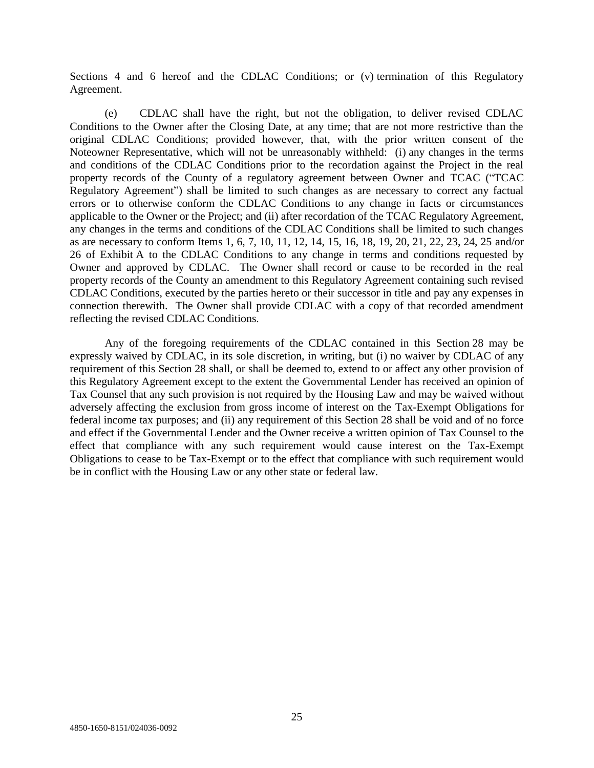Sections 4 and 6 hereof and the CDLAC Conditions; or (v) termination of this Regulatory Agreement.

(e) CDLAC shall have the right, but not the obligation, to deliver revised CDLAC Conditions to the Owner after the Closing Date, at any time; that are not more restrictive than the original CDLAC Conditions; provided however, that, with the prior written consent of the Noteowner Representative, which will not be unreasonably withheld: (i) any changes in the terms and conditions of the CDLAC Conditions prior to the recordation against the Project in the real property records of the County of a regulatory agreement between Owner and TCAC ("TCAC Regulatory Agreement") shall be limited to such changes as are necessary to correct any factual errors or to otherwise conform the CDLAC Conditions to any change in facts or circumstances applicable to the Owner or the Project; and (ii) after recordation of the TCAC Regulatory Agreement, any changes in the terms and conditions of the CDLAC Conditions shall be limited to such changes as are necessary to conform Items 1, 6, 7, 10, 11, 12, 14, 15, 16, 18, 19, 20, 21, 22, 23, 24, 25 and/or 26 of Exhibit A to the CDLAC Conditions to any change in terms and conditions requested by Owner and approved by CDLAC. The Owner shall record or cause to be recorded in the real property records of the County an amendment to this Regulatory Agreement containing such revised CDLAC Conditions, executed by the parties hereto or their successor in title and pay any expenses in connection therewith. The Owner shall provide CDLAC with a copy of that recorded amendment reflecting the revised CDLAC Conditions.

Any of the foregoing requirements of the CDLAC contained in this Section 28 may be expressly waived by CDLAC, in its sole discretion, in writing, but (i) no waiver by CDLAC of any requirement of this Section 28 shall, or shall be deemed to, extend to or affect any other provision of this Regulatory Agreement except to the extent the Governmental Lender has received an opinion of Tax Counsel that any such provision is not required by the Housing Law and may be waived without adversely affecting the exclusion from gross income of interest on the Tax-Exempt Obligations for federal income tax purposes; and (ii) any requirement of this Section 28 shall be void and of no force and effect if the Governmental Lender and the Owner receive a written opinion of Tax Counsel to the effect that compliance with any such requirement would cause interest on the Tax-Exempt Obligations to cease to be Tax-Exempt or to the effect that compliance with such requirement would be in conflict with the Housing Law or any other state or federal law.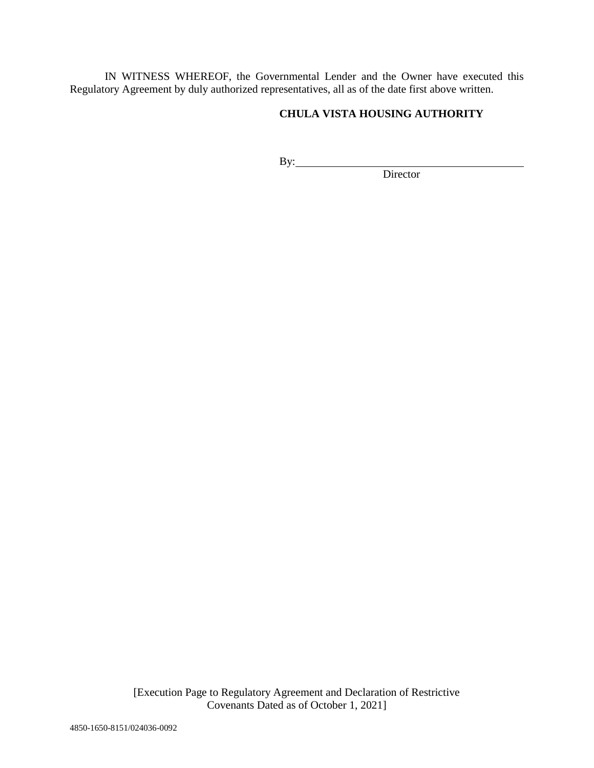IN WITNESS WHEREOF, the Governmental Lender and the Owner have executed this Regulatory Agreement by duly authorized representatives, all as of the date first above written.

# **CHULA VISTA HOUSING AUTHORITY**

By:

Director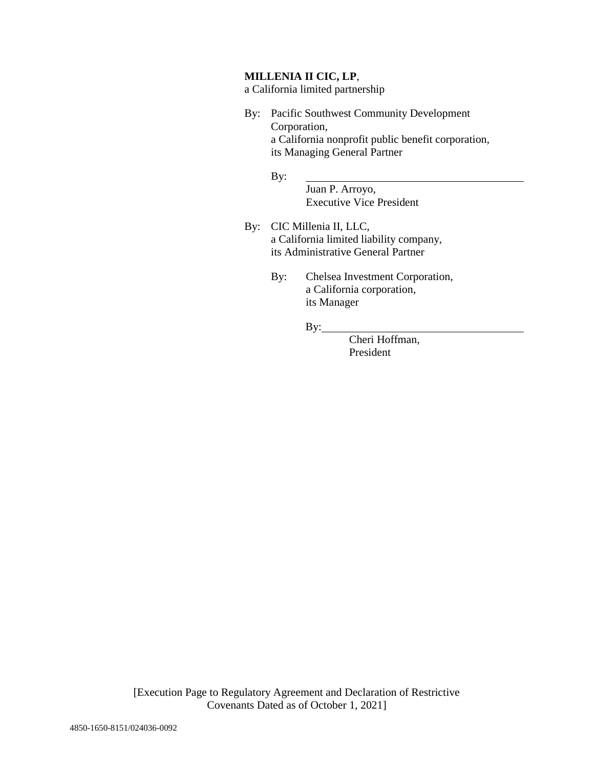### **MILLENIA II CIC, LP**,

a California limited partnership

By: Pacific Southwest Community Development Corporation, a California nonprofit public benefit corporation, its Managing General Partner

By:

Juan P. Arroyo, Executive Vice President

- By: CIC Millenia II, LLC, a California limited liability company, its Administrative General Partner
	- By: Chelsea Investment Corporation, a California corporation, its Manager

By:

Cheri Hoffman, President

[Execution Page to Regulatory Agreement and Declaration of Restrictive Covenants Dated as of October 1, 2021]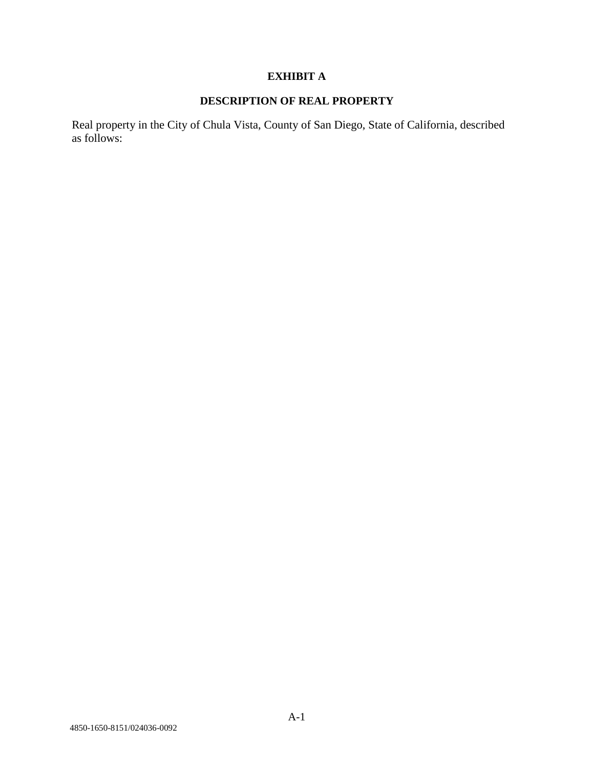## **EXHIBIT A**

# **DESCRIPTION OF REAL PROPERTY**

Real property in the City of Chula Vista, County of San Diego, State of California, described as follows: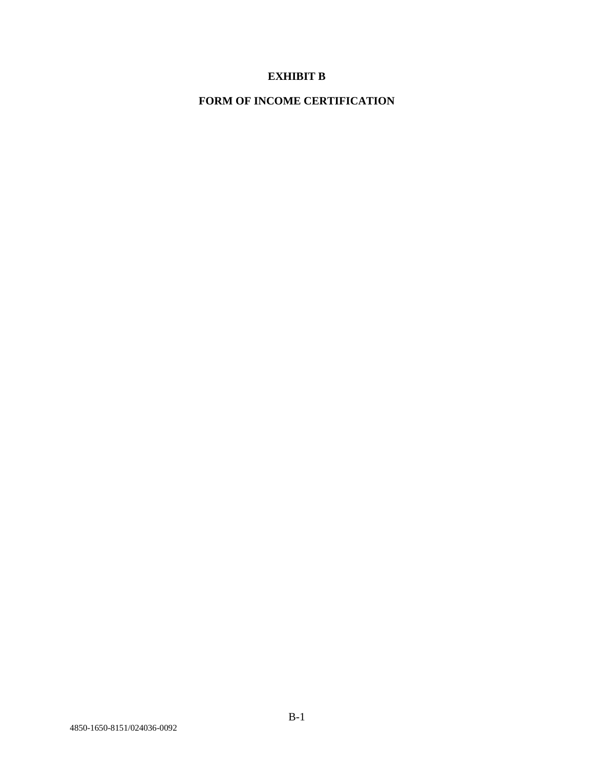## **EXHIBIT B**

**FORM OF INCOME CERTIFICATION**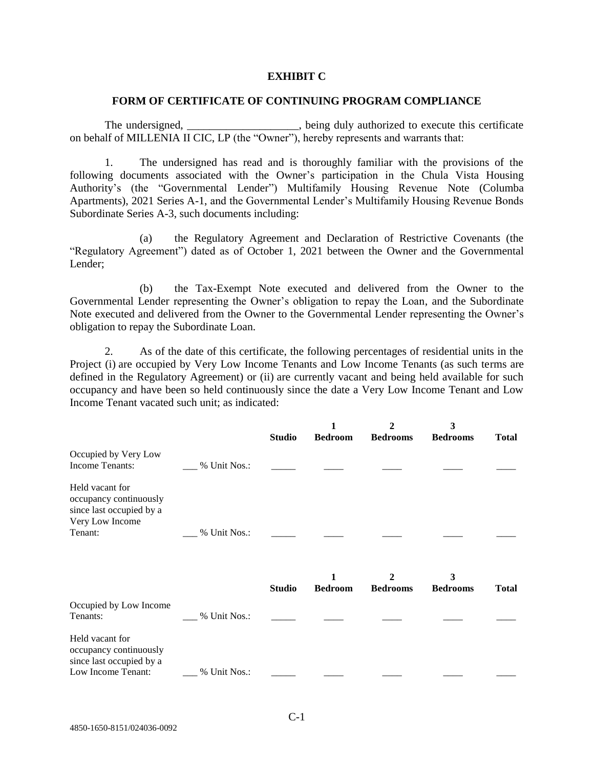#### **EXHIBIT C**

#### **FORM OF CERTIFICATE OF CONTINUING PROGRAM COMPLIANCE**

The undersigned, \_\_\_\_\_\_\_\_\_\_\_\_\_\_\_\_\_\_\_\_, being duly authorized to execute this certificate on behalf of MILLENIA II CIC, LP (the "Owner"), hereby represents and warrants that:

1. The undersigned has read and is thoroughly familiar with the provisions of the following documents associated with the Owner's participation in the Chula Vista Housing Authority's (the "Governmental Lender") Multifamily Housing Revenue Note (Columba Apartments), 2021 Series A-1, and the Governmental Lender's Multifamily Housing Revenue Bonds Subordinate Series A-3, such documents including:

(a) the Regulatory Agreement and Declaration of Restrictive Covenants (the "Regulatory Agreement") dated as of October 1, 2021 between the Owner and the Governmental Lender;

(b) the Tax-Exempt Note executed and delivered from the Owner to the Governmental Lender representing the Owner's obligation to repay the Loan, and the Subordinate Note executed and delivered from the Owner to the Governmental Lender representing the Owner's obligation to repay the Subordinate Loan.

2. As of the date of this certificate, the following percentages of residential units in the Project (i) are occupied by Very Low Income Tenants and Low Income Tenants (as such terms are defined in the Regulatory Agreement) or (ii) are currently vacant and being held available for such occupancy and have been so held continuously since the date a Very Low Income Tenant and Low Income Tenant vacated such unit; as indicated:

|                                                                                                     |              | <b>Studio</b> | <b>Bedroom</b> | $\mathbf{2}$<br><b>Bedrooms</b> | 3<br><b>Bedrooms</b> | <b>Total</b> |
|-----------------------------------------------------------------------------------------------------|--------------|---------------|----------------|---------------------------------|----------------------|--------------|
| Occupied by Very Low<br>Income Tenants:                                                             | % Unit Nos.: |               |                |                                 |                      |              |
| Held vacant for<br>occupancy continuously<br>since last occupied by a<br>Very Low Income<br>Tenant: | % Unit Nos.: |               |                |                                 |                      |              |
|                                                                                                     |              | <b>Studio</b> | <b>Bedroom</b> | <b>Bedrooms</b>                 | 3<br><b>Bedrooms</b> | <b>Total</b> |
| Occupied by Low Income<br>Tenants:                                                                  | % Unit Nos.: |               |                |                                 |                      |              |
| Held vacant for<br>occupancy continuously<br>since last occupied by a<br>Low Income Tenant:         | % Unit Nos.: |               |                |                                 |                      |              |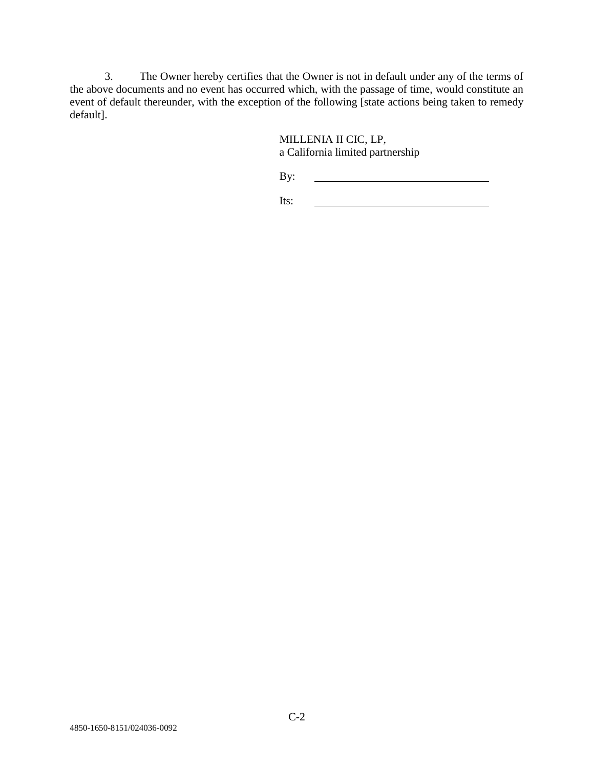3. The Owner hereby certifies that the Owner is not in default under any of the terms of the above documents and no event has occurred which, with the passage of time, would constitute an event of default thereunder, with the exception of the following [state actions being taken to remedy default].

> MILLENIA II CIC, LP, a California limited partnership

By:

Its: